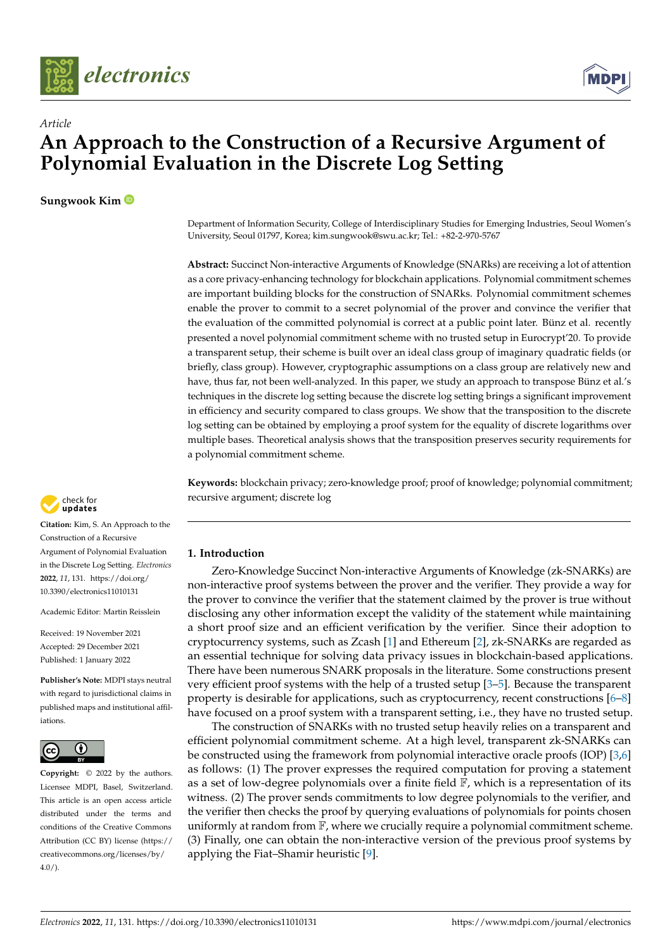



# *Article* **An Approach to the Construction of a Recursive Argument of Polynomial Evaluation in the Discrete Log Setting**

**Sungwook Kim**

Department of Information Security, College of Interdisciplinary Studies for Emerging Industries, Seoul Women's University, Seoul 01797, Korea; kim.sungwook@swu.ac.kr; Tel.: +82-2-970-5767

**Abstract:** Succinct Non-interactive Arguments of Knowledge (SNARks) are receiving a lot of attention as a core privacy-enhancing technology for blockchain applications. Polynomial commitment schemes are important building blocks for the construction of SNARks. Polynomial commitment schemes enable the prover to commit to a secret polynomial of the prover and convince the verifier that the evaluation of the committed polynomial is correct at a public point later. Bünz et al. recently presented a novel polynomial commitment scheme with no trusted setup in Eurocrypt'20. To provide a transparent setup, their scheme is built over an ideal class group of imaginary quadratic fields (or briefly, class group). However, cryptographic assumptions on a class group are relatively new and have, thus far, not been well-analyzed. In this paper, we study an approach to transpose Bünz et al.'s techniques in the discrete log setting because the discrete log setting brings a significant improvement in efficiency and security compared to class groups. We show that the transposition to the discrete log setting can be obtained by employing a proof system for the equality of discrete logarithms over multiple bases. Theoretical analysis shows that the transposition preserves security requirements for a polynomial commitment scheme.

**Keywords:** blockchain privacy; zero-knowledge proof; proof of knowledge; polynomial commitment; recursive argument; discrete log

### **1. Introduction**

Zero-Knowledge Succinct Non-interactive Arguments of Knowledge (zk-SNARKs) are non-interactive proof systems between the prover and the verifier. They provide a way for the prover to convince the verifier that the statement claimed by the prover is true without disclosing any other information except the validity of the statement while maintaining a short proof size and an efficient verification by the verifier. Since their adoption to cryptocurrency systems, such as Zcash [\[1\]](#page-16-0) and Ethereum [\[2\]](#page-16-1), zk-SNARKs are regarded as an essential technique for solving data privacy issues in blockchain-based applications. There have been numerous SNARK proposals in the literature. Some constructions present very efficient proof systems with the help of a trusted setup [\[3–](#page-16-2)[5\]](#page-16-3). Because the transparent property is desirable for applications, such as cryptocurrency, recent constructions [\[6–](#page-16-4)[8\]](#page-16-5) have focused on a proof system with a transparent setting, i.e., they have no trusted setup.

The construction of SNARKs with no trusted setup heavily relies on a transparent and efficient polynomial commitment scheme. At a high level, transparent zk-SNARKs can be constructed using the framework from polynomial interactive oracle proofs (IOP) [\[3](#page-16-2)[,6\]](#page-16-4) as follows: (1) The prover expresses the required computation for proving a statement as a set of low-degree polynomials over a finite field  $\mathbb{F}$ , which is a representation of its witness. (2) The prover sends commitments to low degree polynomials to the verifier, and the verifier then checks the proof by querying evaluations of polynomials for points chosen uniformly at random from  $\mathbb{F}$ , where we crucially require a polynomial commitment scheme. (3) Finally, one can obtain the non-interactive version of the previous proof systems by applying the Fiat–Shamir heuristic [\[9\]](#page-16-6).



**Citation:** Kim, S. An Approach to the Construction of a Recursive Argument of Polynomial Evaluation in the Discrete Log Setting. *Electronics* **2022**, *11*, 131. [https://doi.org/](https://doi.org/10.3390/electronics11010131) [10.3390/electronics11010131](https://doi.org/10.3390/electronics11010131)

Academic Editor: Martin Reisslein

Received: 19 November 2021 Accepted: 29 December 2021 Published: 1 January 2022

**Publisher's Note:** MDPI stays neutral with regard to jurisdictional claims in published maps and institutional affiliations.



**Copyright:** © 2022 by the authors. Licensee MDPI, Basel, Switzerland. This article is an open access article distributed under the terms and conditions of the Creative Commons Attribution (CC BY) license [\(https://](https://creativecommons.org/licenses/by/4.0/) [creativecommons.org/licenses/by/](https://creativecommons.org/licenses/by/4.0/)  $4.0/$ ).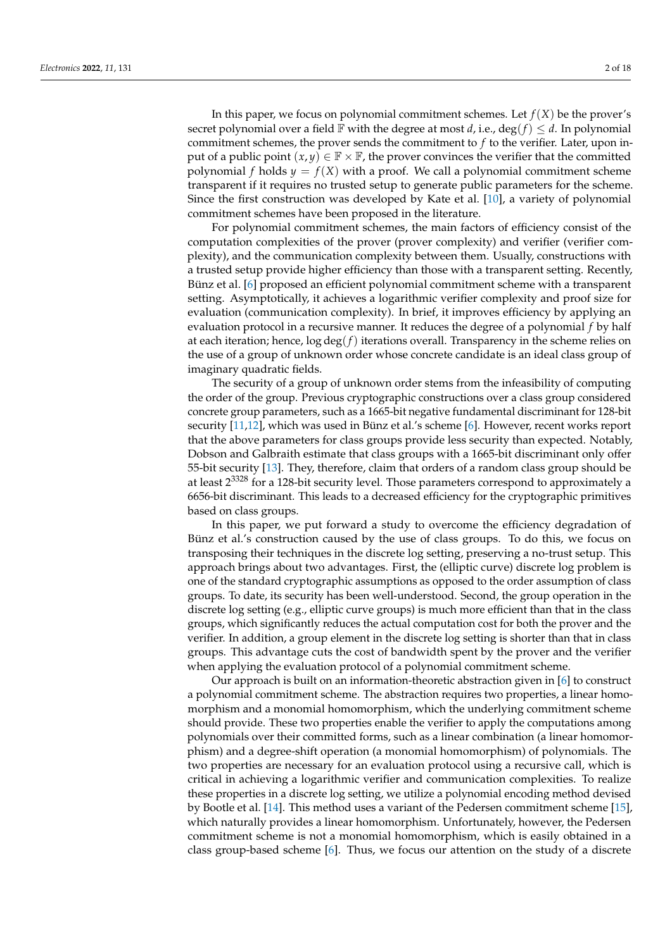In this paper, we focus on polynomial commitment schemes. Let  $f(X)$  be the prover's secret polynomial over a field  $\mathbb F$  with the degree at most *d*, i.e., deg(*f*)  $\leq d$ . In polynomial commitment schemes, the prover sends the commitment to *f* to the verifier. Later, upon input of a public point  $(x, y) \in \mathbb{F} \times \mathbb{F}$ , the prover convinces the verifier that the committed polynomial *f* holds  $y = f(X)$  with a proof. We call a polynomial commitment scheme transparent if it requires no trusted setup to generate public parameters for the scheme. Since the first construction was developed by Kate et al. [\[10\]](#page-16-7), a variety of polynomial commitment schemes have been proposed in the literature.

For polynomial commitment schemes, the main factors of efficiency consist of the computation complexities of the prover (prover complexity) and verifier (verifier complexity), and the communication complexity between them. Usually, constructions with a trusted setup provide higher efficiency than those with a transparent setting. Recently, Bünz et al. [\[6\]](#page-16-4) proposed an efficient polynomial commitment scheme with a transparent setting. Asymptotically, it achieves a logarithmic verifier complexity and proof size for evaluation (communication complexity). In brief, it improves efficiency by applying an evaluation protocol in a recursive manner. It reduces the degree of a polynomial *f* by half at each iteration; hence, log deg(*f*) iterations overall. Transparency in the scheme relies on the use of a group of unknown order whose concrete candidate is an ideal class group of imaginary quadratic fields.

The security of a group of unknown order stems from the infeasibility of computing the order of the group. Previous cryptographic constructions over a class group considered concrete group parameters, such as a 1665-bit negative fundamental discriminant for 128-bit security [\[11](#page-16-8)[,12\]](#page-16-9), which was used in Bünz et al.'s scheme [\[6\]](#page-16-4). However, recent works report that the above parameters for class groups provide less security than expected. Notably, Dobson and Galbraith estimate that class groups with a 1665-bit discriminant only offer 55-bit security [\[13\]](#page-16-10). They, therefore, claim that orders of a random class group should be at least 2<sup>3328</sup> for a 128-bit security level. Those parameters correspond to approximately a 6656-bit discriminant. This leads to a decreased efficiency for the cryptographic primitives based on class groups.

In this paper, we put forward a study to overcome the efficiency degradation of Bünz et al.'s construction caused by the use of class groups. To do this, we focus on transposing their techniques in the discrete log setting, preserving a no-trust setup. This approach brings about two advantages. First, the (elliptic curve) discrete log problem is one of the standard cryptographic assumptions as opposed to the order assumption of class groups. To date, its security has been well-understood. Second, the group operation in the discrete log setting (e.g., elliptic curve groups) is much more efficient than that in the class groups, which significantly reduces the actual computation cost for both the prover and the verifier. In addition, a group element in the discrete log setting is shorter than that in class groups. This advantage cuts the cost of bandwidth spent by the prover and the verifier when applying the evaluation protocol of a polynomial commitment scheme.

Our approach is built on an information-theoretic abstraction given in [\[6\]](#page-16-4) to construct a polynomial commitment scheme. The abstraction requires two properties, a linear homomorphism and a monomial homomorphism, which the underlying commitment scheme should provide. These two properties enable the verifier to apply the computations among polynomials over their committed forms, such as a linear combination (a linear homomorphism) and a degree-shift operation (a monomial homomorphism) of polynomials. The two properties are necessary for an evaluation protocol using a recursive call, which is critical in achieving a logarithmic verifier and communication complexities. To realize these properties in a discrete log setting, we utilize a polynomial encoding method devised by Bootle et al. [\[14\]](#page-16-11). This method uses a variant of the Pedersen commitment scheme [\[15\]](#page-17-0), which naturally provides a linear homomorphism. Unfortunately, however, the Pedersen commitment scheme is not a monomial homomorphism, which is easily obtained in a class group-based scheme [\[6\]](#page-16-4). Thus, we focus our attention on the study of a discrete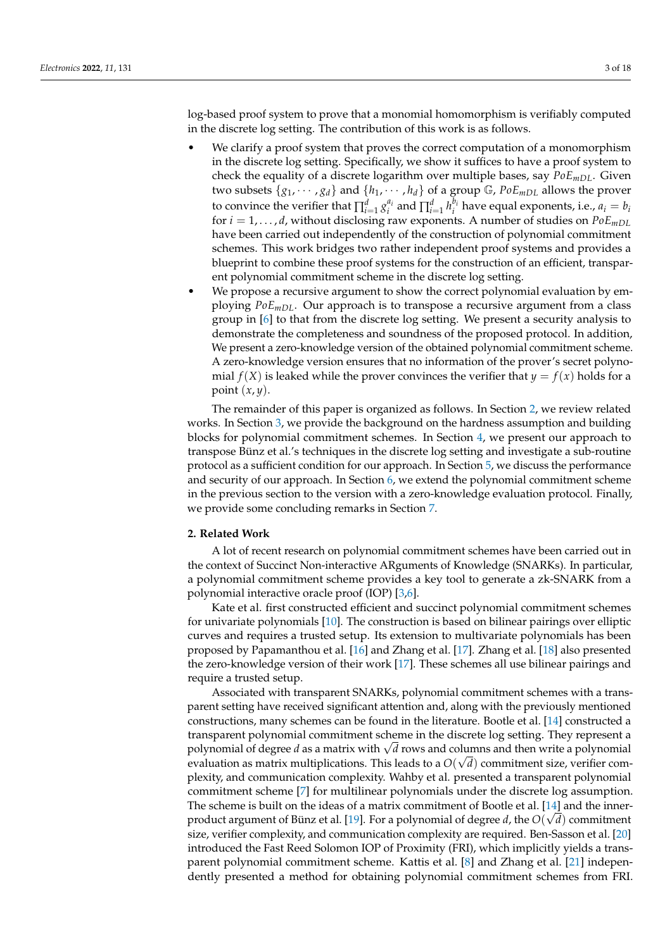log-based proof system to prove that a monomial homomorphism is verifiably computed in the discrete log setting. The contribution of this work is as follows.

- We clarify a proof system that proves the correct computation of a monomorphism in the discrete log setting. Specifically, we show it suffices to have a proof system to check the equality of a discrete logarithm over multiple bases, say *PoEmDL*. Given two subsets  $\{g_1, \dots, g_d\}$  and  $\{h_1, \dots, h_d\}$  of a group  $\mathbb{G}$ ,  $PoE_{mDL}$  allows the prover to convince the verifier that  $\prod_{i=1}^d g_i^{a_i}$  and  $\prod_{i=1}^d h_i^{b_i}$  have equal exponents, i.e.,  $a_i = b_i$ for *i* = 1, . . . , *d*, without disclosing raw exponents. A number of studies on *PoEmDL* have been carried out independently of the construction of polynomial commitment schemes. This work bridges two rather independent proof systems and provides a blueprint to combine these proof systems for the construction of an efficient, transparent polynomial commitment scheme in the discrete log setting.
- We propose a recursive argument to show the correct polynomial evaluation by employing *PoEmDL*. Our approach is to transpose a recursive argument from a class group in [\[6\]](#page-16-4) to that from the discrete log setting. We present a security analysis to demonstrate the completeness and soundness of the proposed protocol. In addition, We present a zero-knowledge version of the obtained polynomial commitment scheme. A zero-knowledge version ensures that no information of the prover's secret polynomial  $f(X)$  is leaked while the prover convinces the verifier that  $y = f(x)$  holds for a point (*x*, *y*).

The remainder of this paper is organized as follows. In Section [2,](#page-2-0) we review related works. In Section [3,](#page-3-0) we provide the background on the hardness assumption and building blocks for polynomial commitment schemes. In Section [4,](#page-6-0) we present our approach to transpose Bünz et al.'s techniques in the discrete log setting and investigate a sub-routine protocol as a sufficient condition for our approach. In Section [5,](#page-10-0) we discuss the performance and security of our approach. In Section [6,](#page-14-0) we extend the polynomial commitment scheme in the previous section to the version with a zero-knowledge evaluation protocol. Finally, we provide some concluding remarks in Section [7.](#page-16-12)

#### <span id="page-2-0"></span>**2. Related Work**

A lot of recent research on polynomial commitment schemes have been carried out in the context of Succinct Non-interactive ARguments of Knowledge (SNARKs). In particular, a polynomial commitment scheme provides a key tool to generate a zk-SNARK from a polynomial interactive oracle proof (IOP) [\[3](#page-16-2)[,6\]](#page-16-4).

Kate et al. first constructed efficient and succinct polynomial commitment schemes for univariate polynomials [\[10\]](#page-16-7). The construction is based on bilinear pairings over elliptic curves and requires a trusted setup. Its extension to multivariate polynomials has been proposed by Papamanthou et al. [\[16\]](#page-17-1) and Zhang et al. [\[17\]](#page-17-2). Zhang et al. [\[18\]](#page-17-3) also presented the zero-knowledge version of their work [\[17\]](#page-17-2). These schemes all use bilinear pairings and require a trusted setup.

Associated with transparent SNARKs, polynomial commitment schemes with a transparent setting have received significant attention and, along with the previously mentioned constructions, many schemes can be found in the literature. Bootle et al. [\[14\]](#page-16-11) constructed a transparent polynomial commitment scheme in the discrete log setting. They represent a rransparent polynomial commitment scheme in the discrete log setting. They represent a<br>polynomial of degree *d* as a matrix with  $\sqrt{d}$  rows and columns and then write a polynomial evaluation as matrix multiplications. This leads to a  $O(\surd d)$  commitment size, verifier complexity, and communication complexity. Wahby et al. presented a transparent polynomial commitment scheme [\[7\]](#page-16-13) for multilinear polynomials under the discrete log assumption. The scheme is built on the ideas of a matrix commitment of Bootle et al. [\[14\]](#page-16-11) and the inner-product argument of Bünz et al. [\[19\]](#page-17-4). For a polynomial of degree  $d$ , the  $O(\sqrt{d})$  commitment size, verifier complexity, and communication complexity are required. Ben-Sasson et al. [\[20\]](#page-17-5) introduced the Fast Reed Solomon IOP of Proximity (FRI), which implicitly yields a transparent polynomial commitment scheme. Kattis et al. [\[8\]](#page-16-5) and Zhang et al. [\[21\]](#page-17-6) independently presented a method for obtaining polynomial commitment schemes from FRI.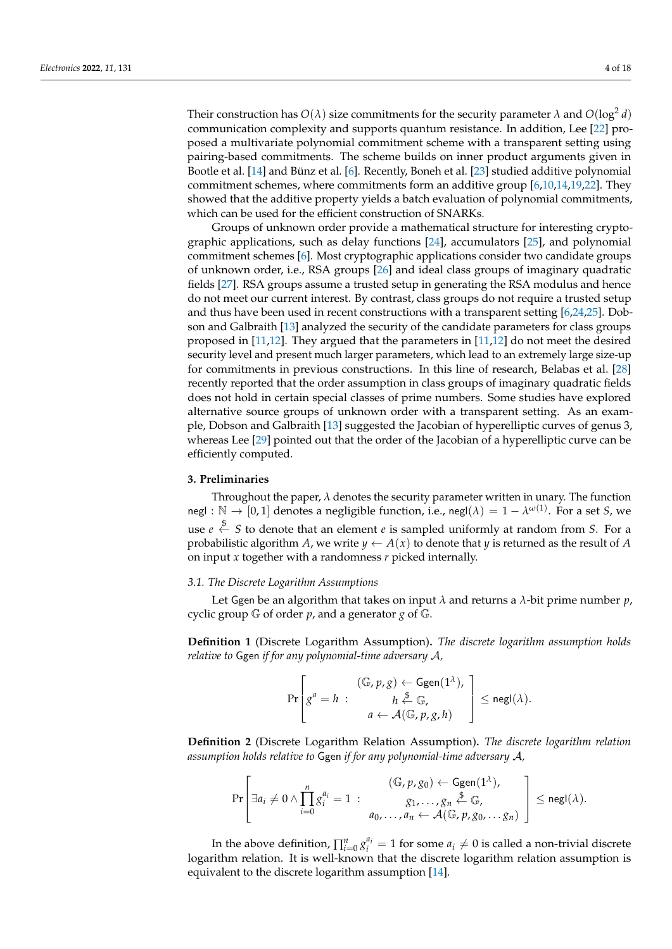Their construction has  $O(\lambda)$  size commitments for the security parameter  $\lambda$  and  $O(\log^2 d)$ communication complexity and supports quantum resistance. In addition, Lee [\[22\]](#page-17-7) proposed a multivariate polynomial commitment scheme with a transparent setting using pairing-based commitments. The scheme builds on inner product arguments given in Bootle et al. [\[14\]](#page-16-11) and Bünz et al. [\[6\]](#page-16-4). Recently, Boneh et al. [\[23\]](#page-17-8) studied additive polynomial commitment schemes, where commitments form an additive group [\[6,](#page-16-4)[10,](#page-16-7)[14,](#page-16-11)[19,](#page-17-4)[22\]](#page-17-7). They showed that the additive property yields a batch evaluation of polynomial commitments, which can be used for the efficient construction of SNARKs.

Groups of unknown order provide a mathematical structure for interesting cryptographic applications, such as delay functions [\[24\]](#page-17-9), accumulators [\[25\]](#page-17-10), and polynomial commitment schemes [\[6\]](#page-16-4). Most cryptographic applications consider two candidate groups of unknown order, i.e., RSA groups [\[26\]](#page-17-11) and ideal class groups of imaginary quadratic fields [\[27\]](#page-17-12). RSA groups assume a trusted setup in generating the RSA modulus and hence do not meet our current interest. By contrast, class groups do not require a trusted setup and thus have been used in recent constructions with a transparent setting [\[6,](#page-16-4)[24](#page-17-9)[,25\]](#page-17-10). Dobson and Galbraith [\[13\]](#page-16-10) analyzed the security of the candidate parameters for class groups proposed in [\[11](#page-16-8)[,12\]](#page-16-9). They argued that the parameters in [\[11](#page-16-8)[,12\]](#page-16-9) do not meet the desired security level and present much larger parameters, which lead to an extremely large size-up for commitments in previous constructions. In this line of research, Belabas et al. [\[28\]](#page-17-13) recently reported that the order assumption in class groups of imaginary quadratic fields does not hold in certain special classes of prime numbers. Some studies have explored alternative source groups of unknown order with a transparent setting. As an example, Dobson and Galbraith [\[13\]](#page-16-10) suggested the Jacobian of hyperelliptic curves of genus 3, whereas Lee [\[29\]](#page-17-14) pointed out that the order of the Jacobian of a hyperelliptic curve can be efficiently computed.

#### <span id="page-3-0"></span>**3. Preliminaries**

Throughout the paper,  $\lambda$  denotes the security parameter written in unary. The function negl :  $\mathbb{N} \to [0,1]$  denotes a negligible function, i.e., negl $(\lambda) = 1 - \lambda^{\omega(1)}$ . For a set *S*, we use *e* \$← *S* to denote that an element *e* is sampled uniformly at random from *S*. For a probabilistic algorithm *A*, we write  $y \leftarrow A(x)$  to denote that *y* is returned as the result of *A* on input *x* together with a randomness *r* picked internally.

#### *3.1. The Discrete Logarithm Assumptions*

Let Ggen be an algorithm that takes on input *λ* and returns a *λ*-bit prime number *p*, cyclic group G of order *p*, and a generator *g* of G.

**Definition 1** (Discrete Logarithm Assumption)**.** *The discrete logarithm assumption holds relative to* Ggen *if for any polynomial-time adversary* A*,*

$$
\Pr\left[g^a = h : \begin{array}{c} (\mathbb{G}, p, g) \leftarrow \text{Ggen}(1^{\lambda}), \\ h \stackrel{\Phi}{\leftarrow} \mathbb{G}, \\ a \leftarrow \mathcal{A}(\mathbb{G}, p, g, h) \end{array}\right] \leq \text{negl}(\lambda).
$$

**Definition 2** (Discrete Logarithm Relation Assumption)**.** *The discrete logarithm relation assumption holds relative to* Ggen *if for any polynomial-time adversary* A*,*

$$
\Pr\left[\exists a_i \neq 0 \land \prod_{i=0}^n g_i^{a_i} = 1 : \begin{array}{c} (\mathbb{G}, p, g_0) \leftarrow \text{Ggen}(1^{\lambda}), \\ g_1, \ldots, g_n \stackrel{\$}{\leftarrow} \mathbb{G}, \\ \emptyset, \ldots, a_n \leftarrow \mathcal{A}(\mathbb{G}, p, g_0, \ldots, g_n) \end{array}\right] \leq \text{negl}(\lambda).
$$

In the above definition,  $\prod_{i=0}^{n} g_i^{a_i} = 1$  for some  $a_i \neq 0$  is called a non-trivial discrete logarithm relation. It is well-known that the discrete logarithm relation assumption is equivalent to the discrete logarithm assumption [\[14\]](#page-16-11).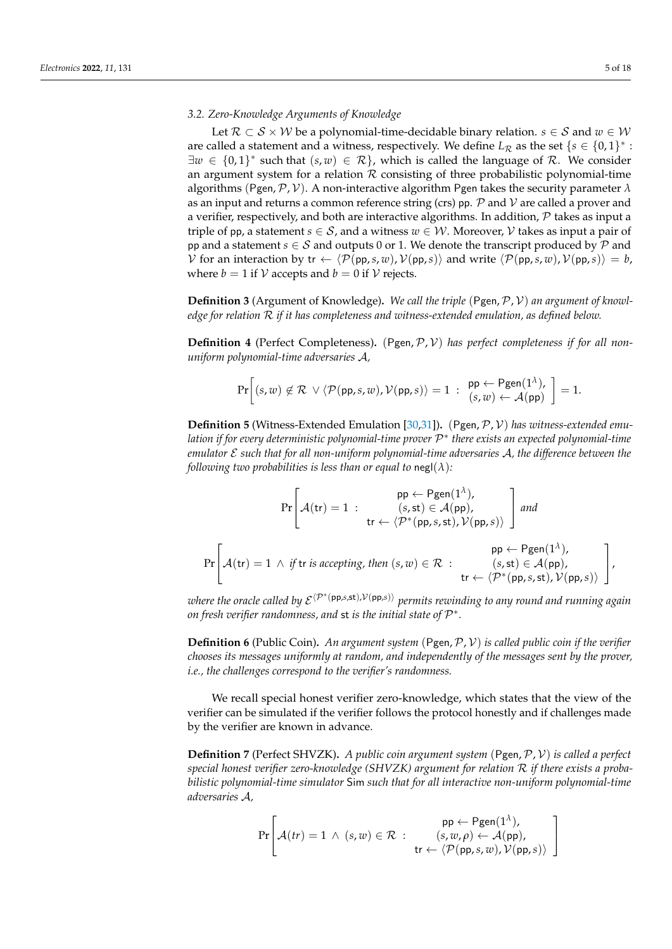#### *3.2. Zero-Knowledge Arguments of Knowledge*

Let  $\mathcal{R} \subset \mathcal{S} \times \mathcal{W}$  be a polynomial-time-decidable binary relation.  $s \in \mathcal{S}$  and  $w \in \mathcal{W}$ are called a statement and a witness, respectively. We define  $L_{\mathcal{R}}$  as the set  $\{s \in \{0,1\}^* :$  $\exists w \in \{0,1\}^*$  such that  $(s, w) \in \mathcal{R}\}$ , which is called the language of R. We consider an argument system for a relation  $R$  consisting of three probabilistic polynomial-time algorithms (Pgen,  $\mathcal{P}, \mathcal{V}$ ). A non-interactive algorithm Pgen takes the security parameter  $\lambda$ as an input and returns a common reference string (crs) pp.  $P$  and  $V$  are called a prover and a verifier, respectively, and both are interactive algorithms. In addition,  $P$  takes as input a triple of pp, a statement  $s \in S$ , and a witness  $w \in \mathcal{W}$ . Moreover,  $\mathcal{V}$  takes as input a pair of pp and a statement *s*  $\in$  *S* and outputs 0 or 1. We denote the transcript produced by  $P$  and V for an interaction by tr  $\leftarrow \langle \mathcal{P}(pp, s, w), \mathcal{V}(pp, s) \rangle$  and write  $\langle \mathcal{P}(pp, s, w), \mathcal{V}(pp, s) \rangle = b$ , where  $b = 1$  if  $V$  accepts and  $b = 0$  if  $V$  rejects.

Definition 3 (Argument of Knowledge). We call the triple (Pgen, P, V) an argument of knowl*edge for relation* R *if it has completeness and witness-extended emulation, as defined below.*

<span id="page-4-0"></span>**Definition 4** (Perfect Completeness). (Pgen, P, V) has perfect completeness if for all non*uniform polynomial-time adversaries* A*,*

$$
\Pr\bigg[(s,w)\not\in\mathcal{R}\ \vee\langle\mathcal{P}(\mathsf{pp},s,w),\mathcal{V}(\mathsf{pp},s)\rangle=1\ :\ \mathsf{pp}\leftarrow\mathsf{Pgen}(1^{\lambda}),\ \mathsf{p}=1.
$$

<span id="page-4-1"></span>**Definition 5** (Witness-Extended Emulation [\[30,](#page-17-15)[31\]](#page-17-16)). (Pgen, P, V) has witness-extended emu*lation if for every deterministic polynomial-time prover* P ∗ *there exists an expected polynomial-time emulator* E *such that for all non-uniform polynomial-time adversaries* A*, the difference between the following two probabilities is less than or equal to* negl( $\lambda$ )*:* 

$$
\Pr\left[\mathcal{A}(tr) = 1 : \begin{array}{c} \text{pp} \leftarrow \text{Pgen}(1^{\lambda}), \\ (s, st) \in \mathcal{A}(pp), \\ tr \leftarrow \langle \mathcal{P}^*(pp, s, st), \mathcal{V}(pp, s) \rangle \end{array}\right] \text{ and }
$$
\n
$$
\Pr\left[\mathcal{A}(tr) = 1 \land \text{ if } tr \text{ is accepting, then } (s, w) \in \mathcal{R} : \begin{array}{c} \text{pp} \leftarrow \text{Pgen}(1^{\lambda}), \\ (s, st) \in \mathcal{A}(pp), \\ tr \leftarrow \langle \mathcal{P}^*(pp, s, st), \mathcal{V}(pp, s) \rangle \end{array}\right], \end{array}\right]
$$

 $\nu$ here the oracle called by E<sup>⟨P∗</sup>(pp,s,st),V(pp,s)⟩ permits rewinding to any round and running again on fresh verifier randomness, and  $\operatorname{st}$  is the initial state of  $\mathcal{P}^*$ .

**Definition 6** (Public Coin)**.** *An argument system* (Pgen,P, V) *is called public coin if the verifier chooses its messages uniformly at random, and independently of the messages sent by the prover, i.e., the challenges correspond to the verifier's randomness.*

We recall special honest verifier zero-knowledge, which states that the view of the verifier can be simulated if the verifier follows the protocol honestly and if challenges made by the verifier are known in advance.

<span id="page-4-2"></span>**Definition 7** (Perfect SHVZK)**.** *A public coin argument system* (Pgen,P, V) *is called a perfect special honest verifier zero-knowledge (SHVZK) argument for relation* R *if there exists a probabilistic polynomial-time simulator* Sim *such that for all interactive non-uniform polynomial-time adversaries* A*,*

$$
\Pr\!\left[\mathcal{A}(tr)=1 \,\land\, (s,w) \in \mathcal{R} \,:\, \begin{array}{c} \mathsf{pp} \leftarrow \mathsf{Pgen}(1^\lambda), \\ (s,w,\rho) \leftarrow \mathcal{A}(\mathsf{pp}), \\ \mathsf{tr} \leftarrow \langle \mathcal{P}(\mathsf{pp},s,w), \mathcal{V}(\mathsf{pp},s) \rangle \end{array}\right]\right.\right.
$$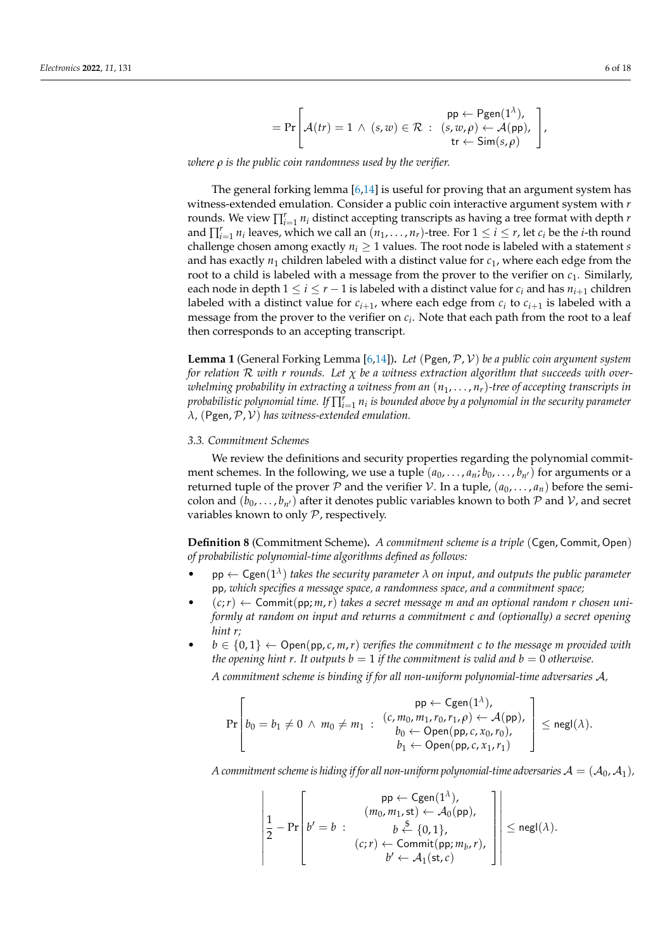$$
= \Pr\left[\mathcal{A}(tr) = 1 \, \wedge \, (s,w) \in \mathcal{R} \, : \, \begin{array}{l} \mathsf{pp} \leftarrow \mathsf{Pgen}(1^{\lambda}), \\ (s,w,\rho) \leftarrow \mathcal{A}(\mathsf{pp}), \\ \mathsf{tr} \leftarrow \mathsf{Sim}(s,\rho) \end{array} \right],\right.\right.
$$

*where ρ is the public coin randomness used by the verifier.*

The general forking lemma  $[6,14]$  $[6,14]$  is useful for proving that an argument system has witness-extended emulation. Consider a public coin interactive argument system with *r* rounds. We view  $\prod_{i=1}^r n_i$  distinct accepting transcripts as having a tree format with depth *r* and  $\prod_{i=1}^r n_i$  leaves, which we call an  $(n_1, \ldots, n_r)$ -tree. For  $1 \leq i \leq r$ , let  $c_i$  be the *i*-th round challenge chosen among exactly  $n_i \geq 1$  values. The root node is labeled with a statement *s* and has exactly  $n_1$  children labeled with a distinct value for  $c_1$ , where each edge from the root to a child is labeled with a message from the prover to the verifier on  $c_1$ . Similarly, each node in depth  $1 \le i \le r - 1$  is labeled with a distinct value for  $c_i$  and has  $n_{i+1}$  children labeled with a distinct value for  $c_{i+1}$ , where each edge from  $c_i$  to  $c_{i+1}$  is labeled with a message from the prover to the verifier on *c<sup>i</sup>* . Note that each path from the root to a leaf then corresponds to an accepting transcript.

<span id="page-5-0"></span>**Lemma 1** (General Forking Lemma [\[6,](#page-16-4)[14\]](#page-16-11))**.** *Let* (Pgen,P, V) *be a public coin argument system for relation* R *with r rounds. Let χ be a witness extraction algorithm that succeeds with overwhelming probability in extracting a witness from an* (*n*1, . . . , *nr*)*-tree of accepting transcripts in*  $p$ robabilistic polynomial time. If  $\prod_{i=1}^r n_i$  is bounded above by a polynomial in the security parameter *λ,* (Pgen,P, V) *has witness-extended emulation.*

#### *3.3. Commitment Schemes*

We review the definitions and security properties regarding the polynomial commitment schemes. In the following, we use a tuple  $(a_0, \ldots, a_n; b_0, \ldots, b_{n'})$  for arguments or a returned tuple of the prover P and the verifier V. In a tuple,  $(a_0, \ldots, a_n)$  before the semicolon and  $(b_0, \ldots, b_{n'})$  after it denotes public variables known to both  $P$  and  $V$ , and secret variables known to only P, respectively.

**Definition 8** (Commitment Scheme)**.** *A commitment scheme is a triple* (Cgen, Commit, Open) *of probabilistic polynomial-time algorithms defined as follows:*

- **pp**  $\leftarrow$  Cgen $(1^{\lambda})$  takes the security parameter  $\lambda$  on input, and outputs the public parameter pp*, which specifies a message space, a randomness space, and a commitment space;*
- $(c; r) \leftarrow$  Commit(pp; *m*, *r*) takes a secret message *m* and an optional random *r* chosen uni*formly at random on input and returns a commitment c and (optionally) a secret opening hint r;*
- $b \in \{0,1\} \leftarrow$  Open(pp, *c*, *m*, *r*) verifies the commitment *c* to the message *m* provided with *the opening hint r. It outputs*  $b = 1$  *if the commitment is valid and*  $b = 0$  *otherwise.*

*A commitment scheme is binding if for all non-uniform polynomial-time adversaries* A*,*

$$
\Pr\left[b_0 = b_1 \neq 0 \ \land \ m_0 \neq m_1 \ : \begin{array}{l} \mathsf{pp} \leftarrow \mathsf{Cgen}(1^{\lambda}), \\ (c, m_0, m_1, r_0, r_1, \rho) \leftarrow \mathcal{A}(\mathsf{pp}), \\ b_0 \leftarrow \mathsf{Open}(\mathsf{pp}, c, x_0, r_0), \\ b_1 \leftarrow \mathsf{Open}(\mathsf{pp}, c, x_1, r_1) \end{array}\right] \leq \mathsf{negl}(\lambda).
$$

*A commitment scheme is hiding if for all non-uniform polynomial-time adversaries*  $\mathcal{A} = (\mathcal{A}_0, \mathcal{A}_1)$ ,

$$
\left|\frac{1}{2}-\Pr\left[b'=b\;:\; \begin{array}{c} \mathsf{pp} \leftarrow \mathsf{Cgen}(1^{\lambda}), \\ (m_0, m_1, \mathsf{st}) \leftarrow \mathcal{A}_0(\mathsf{pp}), \\ b \stackrel{\mathsf{\$}}{\leftarrow} \{0,1\}, \\ (c;r) \leftarrow \mathsf{Commit}(\mathsf{pp}; m_b, r), \\ b' \leftarrow \mathcal{A}_1(\mathsf{st}, c)\end{array}\right|\right|\leq \mathsf{negl}(\lambda).
$$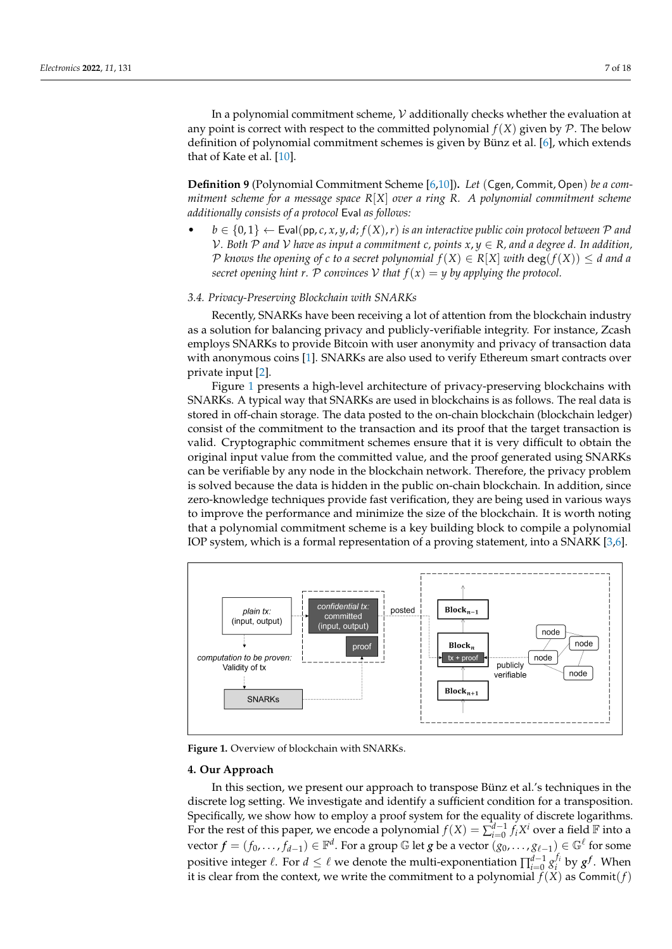In a polynomial commitment scheme,  $V$  additionally checks whether the evaluation at any point is correct with respect to the committed polynomial  $f(X)$  given by  $\mathcal P$ . The below definition of polynomial commitment schemes is given by Bünz et al. [\[6\]](#page-16-4), which extends that of Kate et al. [\[10\]](#page-16-7).

**Definition 9** (Polynomial Commitment Scheme [\[6](#page-16-4)[,10\]](#page-16-7))**.** *Let* (Cgen, Commit, Open) *be a commitment scheme for a message space R*[*X*] *over a ring R. A polynomial commitment scheme additionally consists of a protocol* Eval *as follows:*

 $b \in \{0,1\} \leftarrow$  Eval(pp, *c*, *x*, *y*, *d*;  $f(X)$ , *r*) *is an interactive public coin protocol between* P and  $V$ *. Both*  $P$  *and*  $V$  *have as input a commitment c, points*  $x, y \in R$ *, and a degree d. In addition,*  $\mathcal{P}$  *knows the opening of c to a secret polynomial*  $f(X) \in R[X]$  *with*  $\deg(f(X)) \leq d$  *and a secret opening hint r.* P *convinces* V *that*  $f(x) = y$  *by applying the protocol.* 

#### *3.4. Privacy-Preserving Blockchain with SNARKs*

Recently, SNARKs have been receiving a lot of attention from the blockchain industry as a solution for balancing privacy and publicly-verifiable integrity. For instance, Zcash employs SNARKs to provide Bitcoin with user anonymity and privacy of transaction data with anonymous coins [\[1\]](#page-16-0). SNARKs are also used to verify Ethereum smart contracts over private input [\[2\]](#page-16-1).

Figure [1](#page-6-1) presents a high-level architecture of privacy-preserving blockchains with SNARKs. A typical way that SNARKs are used in blockchains is as follows. The real data is stored in off-chain storage. The data posted to the on-chain blockchain (blockchain ledger) consist of the commitment to the transaction and its proof that the target transaction is valid. Cryptographic commitment schemes ensure that it is very difficult to obtain the original input value from the committed value, and the proof generated using SNARKs can be verifiable by any node in the blockchain network. Therefore, the privacy problem is solved because the data is hidden in the public on-chain blockchain. In addition, since zero-knowledge techniques provide fast verification, they are being used in various ways to improve the performance and minimize the size of the blockchain. It is worth noting that a polynomial commitment scheme is a key building block to compile a polynomial IOP system, which is a formal representation of a proving statement, into a SNARK [\[3](#page-16-2)[,6\]](#page-16-4).

<span id="page-6-1"></span>

**Figure 1.** Overview of blockchain with SNARKs.

#### <span id="page-6-0"></span>**4. Our Approach**

In this section, we present our approach to transpose Bünz et al.'s techniques in the discrete log setting. We investigate and identify a sufficient condition for a transposition. Specifically, we show how to employ a proof system for the equality of discrete logarithms. For the rest of this paper, we encode a polynomial  $f(X) = \sum_{i=0}^{d-1} f_i X^i$  over a field **F** into a  $\mathrm{vector}\; f=(f_0,\ldots,f_{d-1})\in\mathbb{F}^d.$  For a group  $\mathbb{G}$  let  $g$  be a vector  $(g_0,\ldots,g_{\ell-1})\in\mathbb{G}^\ell$  for some positive integer  $\ell$ . For  $d \leq \ell$  we denote the multi-exponentiation  $\prod_{i=0}^{d-1} g_i^{f_i}$  by  $g^f$ . When it is clear from the context, we write the commitment to a polynomial  $f(X)$  as Commit(*f*)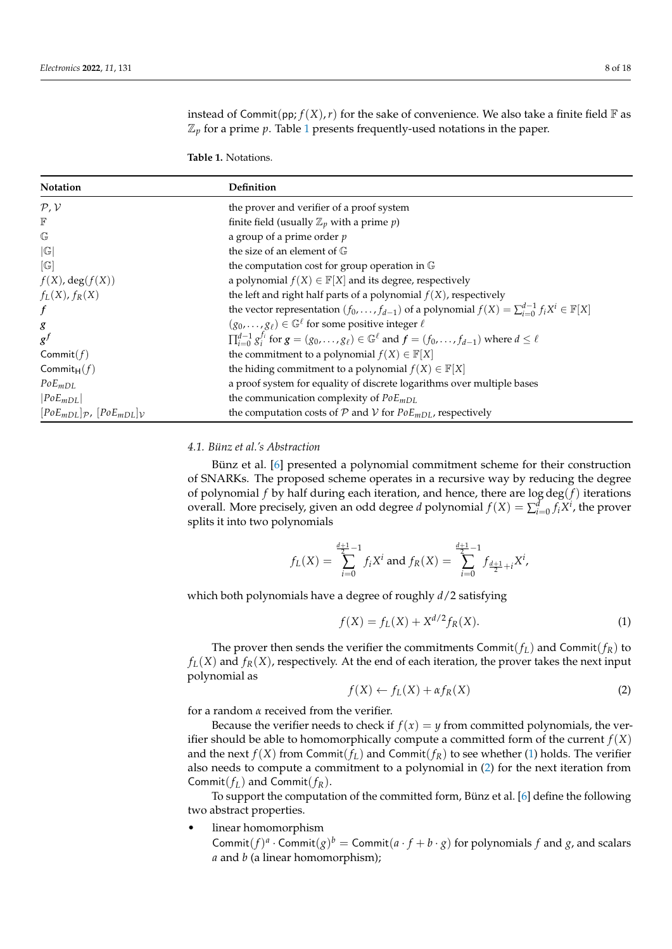instead of Commit(pp;  $f(X)$ , r) for the sake of convenience. We also take a finite field  $\mathbb F$  as  $\mathbb{Z}_p$  for a prime  $p$ . Table [1](#page-7-0) presents frequently-used notations in the paper.

<span id="page-7-0"></span>**Table 1.** Notations.

| Notation                                          | Definition                                                                                                                             |  |  |
|---------------------------------------------------|----------------------------------------------------------------------------------------------------------------------------------------|--|--|
| P, V                                              | the prover and verifier of a proof system                                                                                              |  |  |
| $\mathbb F$                                       | finite field (usually $\mathbb{Z}_p$ with a prime $p$ )                                                                                |  |  |
| $\mathbb{G}$                                      | a group of a prime order $p$                                                                                                           |  |  |
| G                                                 | the size of an element of $\mathbb G$                                                                                                  |  |  |
| $\lceil \mathbb{G} \rceil$                        | the computation cost for group operation in G                                                                                          |  |  |
| $f(X)$ , deg $(f(X))$                             | a polynomial $f(X) \in \mathbb{F}[X]$ and its degree, respectively                                                                     |  |  |
| $f_L(X)$ , $f_R(X)$                               | the left and right half parts of a polynomial $f(X)$ , respectively                                                                    |  |  |
| $\boldsymbol{f}$                                  | the vector representation $(f_0, \ldots, f_{d-1})$ of a polynomial $f(X) = \sum_{i=0}^{d-1} f_i X^i \in \mathbb{F}[X]$                 |  |  |
| g                                                 | $(g_0, \ldots, g_\ell) \in \mathbb{G}^\ell$ for some positive integer $\ell$                                                           |  |  |
| $g^f$                                             | $\prod_{i=0}^{d-1} g_i^{f_i}$ for $g = (g_0, \ldots, g_\ell) \in \mathbb{G}^\ell$ and $f = (f_0, \ldots, f_{d-1})$ where $d \leq \ell$ |  |  |
| Commit $(f)$                                      | the commitment to a polynomial $f(X) \in \mathbb{F}[X]$                                                                                |  |  |
| Commit $H(f)$                                     | the hiding commitment to a polynomial $f(X) \in \mathbb{F}[X]$                                                                         |  |  |
| $PoE_{mDL}$                                       | a proof system for equality of discrete logarithms over multiple bases                                                                 |  |  |
| $ PoE_{mDL} $                                     | the communication complexity of $PoEmDL$                                                                                               |  |  |
| $[PoEmDL]$ <sub>p</sub> , $[PoEmDL]$ <sub>v</sub> | the computation costs of $P$ and $V$ for $PoEmDL$ , respectively                                                                       |  |  |

#### <span id="page-7-3"></span>*4.1. Bünz et al.'s Abstraction*

Bünz et al. [\[6\]](#page-16-4) presented a polynomial commitment scheme for their construction of SNARKs. The proposed scheme operates in a recursive way by reducing the degree of polynomial *f* by half during each iteration, and hence, there are log deg(*f*) iterations overall. More precisely, given an odd degree *d* polynomial  $f(X) = \sum_{i=0}^{d} f_i X^i$ , the prover splits it into two polynomials

$$
f_L(X) = \sum_{i=0}^{\frac{d+1}{2}-1} f_i X^i \text{ and } f_R(X) = \sum_{i=0}^{\frac{d+1}{2}-1} f_{\frac{d+1}{2}+i} X^i,
$$

which both polynomials have a degree of roughly *d*/2 satisfying

<span id="page-7-1"></span>
$$
f(X) = f_L(X) + X^{d/2} f_R(X).
$$
 (1)

The prover then sends the verifier the commitments Commit( $f_L$ ) and Commit( $f_R$ ) to  $f_L(X)$  and  $f_R(X)$ , respectively. At the end of each iteration, the prover takes the next input polynomial as

<span id="page-7-2"></span>
$$
f(X) \leftarrow f_L(X) + \alpha f_R(X) \tag{2}
$$

for a random *α* received from the verifier.

Because the verifier needs to check if  $f(x) = y$  from committed polynomials, the verifier should be able to homomorphically compute a committed form of the current  $f(X)$ and the next  $f(X)$  from Commit( $f_L$ ) and Commit( $f_R$ ) to see whether [\(1\)](#page-7-1) holds. The verifier also needs to compute a commitment to a polynomial in [\(2\)](#page-7-2) for the next iteration from Commit( $f_L$ ) and Commit( $f_R$ ).

To support the computation of the committed form, Bünz et al. [\[6\]](#page-16-4) define the following two abstract properties.

• linear homomorphism

Commit $(f)^a \cdot$  Commit $(g)^b =$  Commit $(a \cdot f + b \cdot g)$  for polynomials *f* and *g*, and scalars *a* and *b* (a linear homomorphism);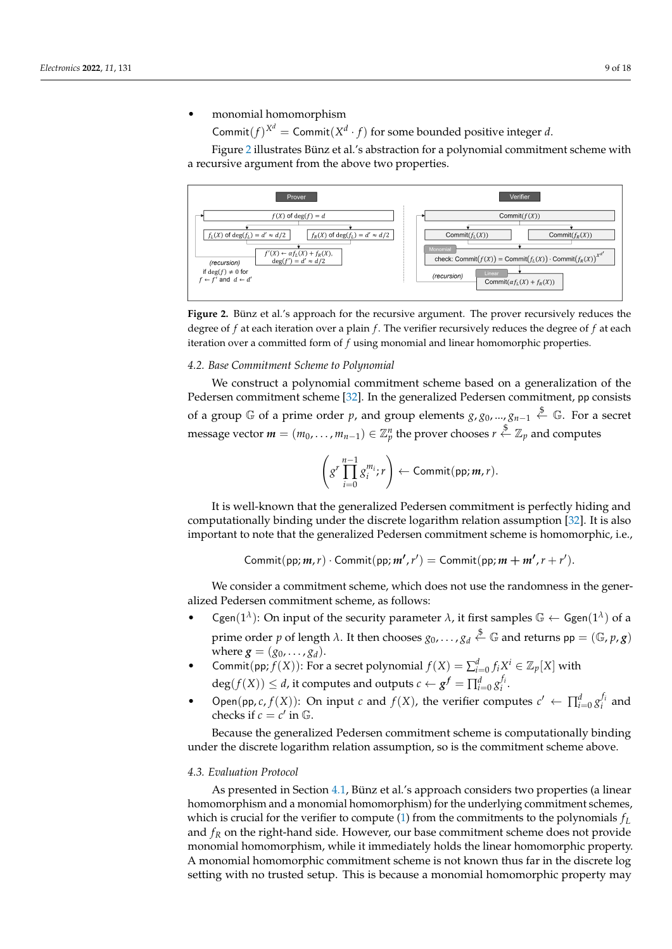#### • monomial homomorphism

Commit $(f)^{X^d}$  = Commit $(X^d \cdot f)$  for some bounded positive integer *d*.

Figure [2](#page-8-0) illustrates Bünz et al.'s abstraction for a polynomial commitment scheme with a recursive argument from the above two properties.

<span id="page-8-0"></span>

**Figure 2.** Bünz et al.'s approach for the recursive argument. The prover recursively reduces the degree of *f* at each iteration over a plain *f* . The verifier recursively reduces the degree of *f* at each iteration over a committed form of *f* using monomial and linear homomorphic properties.

#### *4.2. Base Commitment Scheme to Polynomial*

We construct a polynomial commitment scheme based on a generalization of the Pedersen commitment scheme [\[32\]](#page-17-17). In the generalized Pedersen commitment, pp consists of a group  $\mathbb G$  of a prime order  $p$ , and group elements  $g$ ,  $g_0$ , ...,  $g_{n-1}\overset{\$}{\leftarrow}\mathbb G.$  For a secret message vector  $\pmb{m}=(m_0,\ldots,m_{n-1})\in\mathbb{Z}_p^n$  the prover chooses  $r\stackrel{\$}{\leftarrow}\mathbb{Z}_p$  and computes

$$
\left(g^r\prod_{i=0}^{n-1}g_i^{m_i};r\right)\leftarrow \text{Commit}(pp;m,r).
$$

It is well-known that the generalized Pedersen commitment is perfectly hiding and computationally binding under the discrete logarithm relation assumption [\[32\]](#page-17-17). It is also important to note that the generalized Pedersen commitment scheme is homomorphic, i.e.,

Commit(pp;  $m, r$ )  $\cdot$  Commit(pp;  $m', r'$ ) = Commit(pp;  $m + m', r + r'$ ).

We consider a commitment scheme, which does not use the randomness in the generalized Pedersen commitment scheme, as follows:

- **•** Cgen( $1^{\lambda}$ ): On input of the security parameter  $\lambda$ , it first samples  $\mathbb{G} \leftarrow \mathsf{Ggen}(1^{\lambda})$  of a prime order  $p$  of length  $\lambda$ . It then chooses  $g_0, \ldots, g_d \stackrel{\$}{\leftarrow} \mathbb{G}$  and returns  $\mathsf{pp} = (\mathbb{G}, p, \mathsf{g})$ where  $g = (g_0, \ldots, g_d)$ .
- Commit(pp;  $f(X)$ ): For a secret polynomial  $f(X) = \sum_{i=0}^{d} f_i X^i \in \mathbb{Z}_p[X]$  with  $deg(f(X)) \leq d$ , it computes and outputs  $c \leftarrow g^f = \prod_{i=0}^d g_i^{f_i}$ .
- Open(pp, *c*, *f*(*X*)): On input *c* and *f*(*X*), the verifier computes  $c' \leftarrow \prod_{i=0}^{d} g_i^{f_i}$  and checks if  $c = c'$  in  $\mathbb{G}$ .

Because the generalized Pedersen commitment scheme is computationally binding under the discrete logarithm relation assumption, so is the commitment scheme above.

#### *4.3. Evaluation Protocol*

As presented in Section [4.1,](#page-7-3) Bünz et al.'s approach considers two properties (a linear homomorphism and a monomial homomorphism) for the underlying commitment schemes, which is crucial for the verifier to compute [\(1\)](#page-7-1) from the commitments to the polynomials *f<sup>L</sup>* and  $f_R$  on the right-hand side. However, our base commitment scheme does not provide monomial homomorphism, while it immediately holds the linear homomorphic property. A monomial homomorphic commitment scheme is not known thus far in the discrete log setting with no trusted setup. This is because a monomial homomorphic property may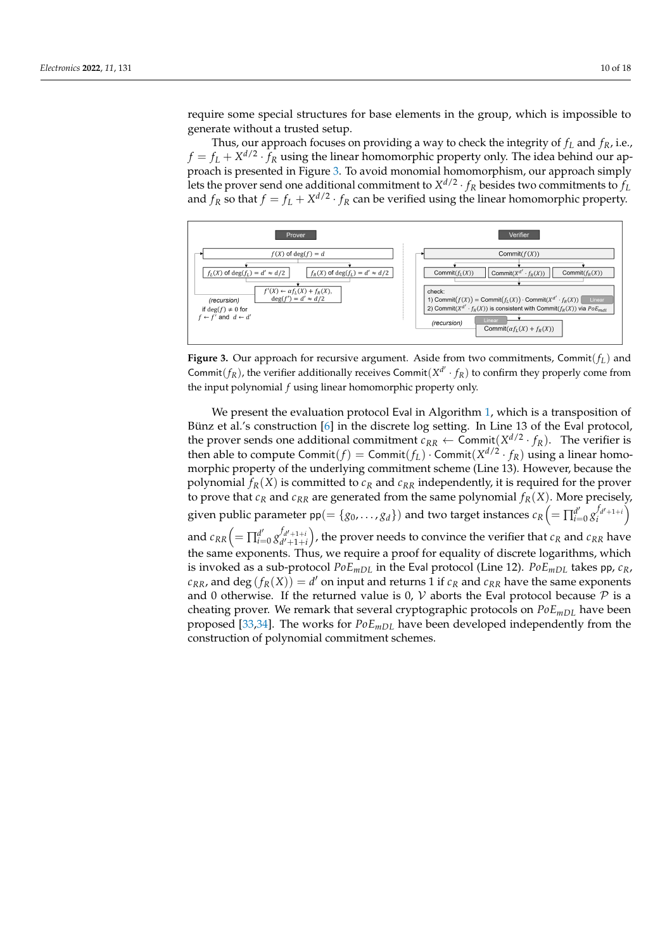require some special structures for base elements in the group, which is impossible to generate without a trusted setup.

Thus, our approach focuses on providing a way to check the integrity of *f<sup>L</sup>* and *fR*, i.e.,  $f = f_L + X^{d/2} \cdot f_R$  using the linear homomorphic property only. The idea behind our approach is presented in Figure [3.](#page-9-0) To avoid monomial homomorphism, our approach simply lets the prover send one additional commitment to  $X^{d/2} \cdot f_R$  besides two commitments to  $f_L$ and  $f_R$  so that  $f = f_L + X^{d/2} \cdot f_R$  can be verified using the linear homomorphic property.

<span id="page-9-0"></span>

**Figure 3.** Our approach for recursive argument. Aside from two commitments, Commit(*fL*) and Commit( $f_R$ ), the verifier additionally receives Commit( $X^{d'} \cdot f_R$ ) to confirm they properly come from the input polynomial *f* using linear homomorphic property only.

We present the evaluation protocol Eval in Algorithm [1,](#page-10-1) which is a transposition of Bünz et al.'s construction [\[6\]](#page-16-4) in the discrete log setting. In Line 13 of the Eval protocol, the prover sends one additional commitment  $c_{RR} \leftarrow \text{Commit}(X^{d/2} \cdot f_R)$ . The verifier is then able to compute  $\textsf{Commit}(f) = \textsf{Commit}(f_L) \cdot \textsf{Commit}(X^{d/2} \cdot f_R)$  using a linear homomorphic property of the underlying commitment scheme (Line 13). However, because the polynomial  $f_R(X)$  is committed to  $c_R$  and  $c_{RR}$  independently, it is required for the prover to prove that  $c_R$  and  $c_{RR}$  are generated from the same polynomial  $f_R(X)$ . More precisely, given public parameter  $\mathsf{pp} (=\{g_0, \ldots, g_d\})$  and two target instances  $c_R \Big( = \prod_{i=1}^{d'}$  $\left\{ \begin{matrix} d' \\ i = 0 \end{matrix} \right\}$   $\left\{ \begin{matrix} f_{d'+1+i} \\ i \end{matrix} \right\}$ and  $c_{RR} \bigl( = \prod_{i=1}^{d'}$  $\int_{i=0}^{d'} g_{d'+1+i}^{f_{d'+1+i}}$  $d_{d'+1+i}^{f_{d'+1+i}}$  , the prover needs to convince the verifier that  $c_R$  and  $c_{RR}$  have the same exponents. Thus, we require a proof for equality of discrete logarithms, which is invoked as a sub-protocol  $PoE_{mDL}$  in the Eval protocol (Line 12).  $PoE_{mDL}$  takes pp,  $c_R$ ,  $c_{RR}$ , and  $\deg(f_R(X)) = d'$  on input and returns  $\tilde{1}$  if  $c_R$  and  $c_{RR}$  have the same exponents and 0 otherwise. If the returned value is 0,  $V$  aborts the Eval protocol because  $P$  is a cheating prover. We remark that several cryptographic protocols on  $PoE<sub>mDL</sub>$  have been proposed [\[33](#page-17-18)[,34\]](#page-17-19). The works for *PoEmDL* have been developed independently from the construction of polynomial commitment schemes.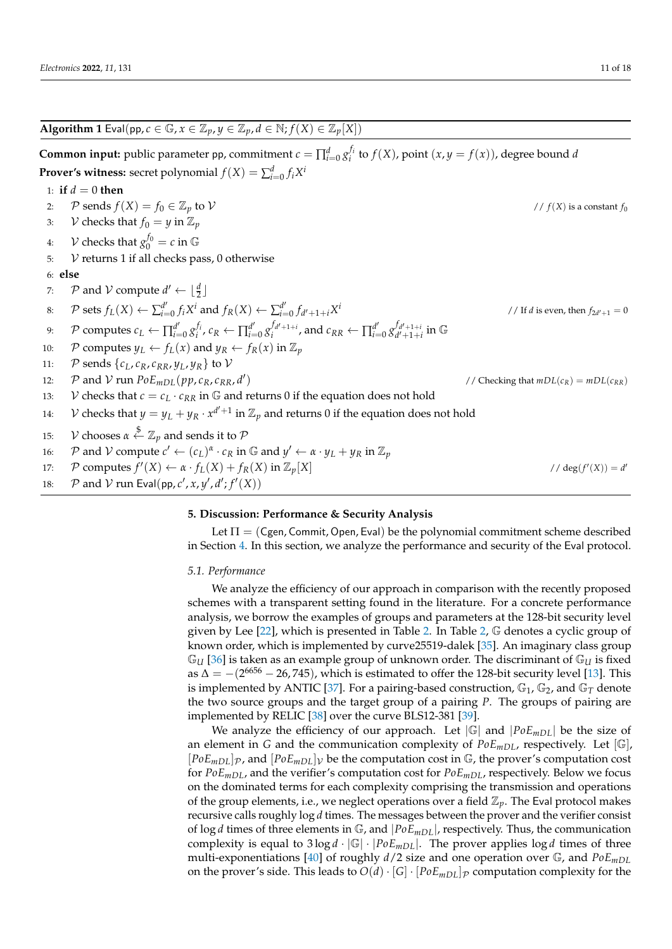<span id="page-10-1"></span>**Algorithm 1** Eval(pp,  $c \in \mathbb{G}$ ,  $x \in \mathbb{Z}_p$ ,  $y \in \mathbb{Z}_p$ ,  $d \in \mathbb{N}$ ;  $f(X) \in \mathbb{Z}_p[X]$ ) **Common input:** public parameter pp, commitment  $c = \prod_{i=0}^{d} g_i^{f_i}$  to  $f(X)$ , point  $(x, y = f(x))$ , degree bound *d* **Prover's witness:** secret polynomial  $f(X) = \sum_{i=0}^{d} f_i X^i$ 1: **if**  $d = 0$  **then** 2:  $P$  sends  $f(X) = f_0 \in \mathbb{Z}_p$  to  $V$  //  $f(X)$  is a constant  $f_0$ 3: *V* checks that  $f_0 = y$  in  $\mathbb{Z}_p$ 4:  $V$  checks that  $g_0^{f_0} = c$  in G 5:  $V$  returns 1 if all checks pass, 0 otherwise 6: **else** 7:  $\mathcal{P}$  and  $\mathcal{V}$  compute  $d' \leftarrow \lfloor \frac{d}{2} \rfloor$ 8:  $\mathcal{P}$  sets  $f_L(X) \leftarrow \sum_{i=1}^{d'}$  $f_i d'$ <sub>*i*=0</sub>  $f_i X^i$  and  $f_R(X) \leftarrow \sum_{i=1}^d f_i$  $\int_{i=0}^{a} f_{d'+1+i} X$ *i* // If *d* is even, then  $f_{2d'+1} = 0$ 9:  $\mathcal{P}$  computes  $c_L \leftarrow \prod_{i=1}^{d'}$  $\alpha_i^{d'}$ <sub>*i*=0</sub>  $g_i^{f_i}$ ,  $c_R \leftarrow \prod_{i=1}^{d'}$  $\int_{i=0}^{d'} g_i^{f_{d'+1+i}}$ , and  $c_{RR} \leftarrow \prod_{i=1}^{d'}$  $\int_{i=0}^{d'} g_{d'+1+i}^{f_{d'+1+i}}$  $\int\limits_{d'+1+i}^{J_d'+1+i} \text{in} \ \mathbb{G}$ 10: P computes  $y_L \leftarrow f_L(x)$  and  $y_R \leftarrow f_R(x)$  in  $\mathbb{Z}_p$ 11: P sends  $\{c_L, c_R, c_{RR}, v_L, v_R\}$  to V 12:  $\mathcal{P}$  and  $\mathcal{V}$  run  $PoE_{mDL}(pp, c_R, c_{RR}, d')$ // Checking that  $mDL(c_R) = mDL(c_{RR})$ 13: V checks that  $c = c_L \cdot c_{RR}$  in  $\mathbb{G}$  and returns 0 if the equation does not hold 14:  $\quad$   $\mathcal V$  checks that  $y=y_L+y_R\cdot x^{d'+1}$  in  $\mathbb Z_p$  and returns 0 if the equation does not hold 15:  $V$  chooses  $\alpha \stackrel{\$} \leftarrow \mathbb{Z}_p$  and sends it to  $\mathcal P$ 16: P and V compute  $c' \leftarrow (c_L)^{\alpha} \cdot c_R$  in G and  $y' \leftarrow \alpha \cdot y_L + y_R$  in  $\mathbb{Z}_p$ 17:  $\mathcal{P}$  computes  $f'(X) \leftarrow \alpha \cdot f_L(X) + f_R(X)$  in  $\mathbb{Z}_p[X]$  // deg(*f*  $J'(X)) = d'$ 

18:  $\mathcal{P}$  and  $\mathcal{V}$  run Eval(pp,  $c', x, y', d'; f'(X)$ )

#### <span id="page-10-0"></span>**5. Discussion: Performance & Security Analysis**

Let  $\Pi = (Cgen, Commit, Open, Equal)$  be the polynomial commitment scheme described in Section [4.](#page-6-0) In this section, we analyze the performance and security of the Eval protocol.

#### *5.1. Performance*

We analyze the efficiency of our approach in comparison with the recently proposed schemes with a transparent setting found in the literature. For a concrete performance analysis, we borrow the examples of groups and parameters at the 128-bit security level given by Lee  $[22]$ , which is presented in Table [2.](#page-11-0) In Table [2,](#page-11-0)  $\mathbb G$  denotes a cyclic group of known order, which is implemented by curve25519-dalek [\[35\]](#page-17-20). An imaginary class group  $\mathbb{G}_{U}$  [\[36\]](#page-17-21) is taken as an example group of unknown order. The discriminant of  $\mathbb{G}_{U}$  is fixed as  $\Delta = -(2^{6656} - 26,745)$ , which is estimated to offer the 128-bit security level [\[13\]](#page-16-10). This is implemented by ANTIC [\[37\]](#page-17-22). For a pairing-based construction,  $\mathbb{G}_1$ ,  $\mathbb{G}_2$ , and  $\mathbb{G}_T$  denote the two source groups and the target group of a pairing *P*. The groups of pairing are implemented by RELIC [\[38\]](#page-17-23) over the curve BLS12-381 [\[39\]](#page-17-24).

We analyze the efficiency of our approach. Let  $|\mathbb{G}|$  and  $|PoE_{mDL}|$  be the size of an element in *G* and the communication complexity of *PoE<sub>mDL</sub>*, respectively. Let [G],  $[PoE<sub>mDL</sub>]$ <sub>*p*</sub>, and  $[PoE<sub>mDL</sub>]$ <sub>V</sub> be the computation cost in  $\mathbb{G}$ , the prover's computation cost for *PoEmDL*, and the verifier's computation cost for *PoEmDL*, respectively. Below we focus on the dominated terms for each complexity comprising the transmission and operations of the group elements, i.e., we neglect operations over a field  $\mathbb{Z}_p$ . The Eval protocol makes recursive calls roughly log *d* times. The messages between the prover and the verifier consist of  $\log d$  times of three elements in  $\mathbb{G}$ , and  $|PoE_{mDL}|$ , respectively. Thus, the communication complexity is equal to  $3 \log d \cdot |\mathbb{G}| \cdot |PoE_{mDL}|$ . The prover applies  $\log d$  times of three multi-exponentiations [\[40\]](#page-17-25) of roughly *d*/2 size and one operation over G, and *PoEmDL* on the prover's side. This leads to  $O(d) \cdot [G] \cdot [PoE_{mDL}]$  computation complexity for the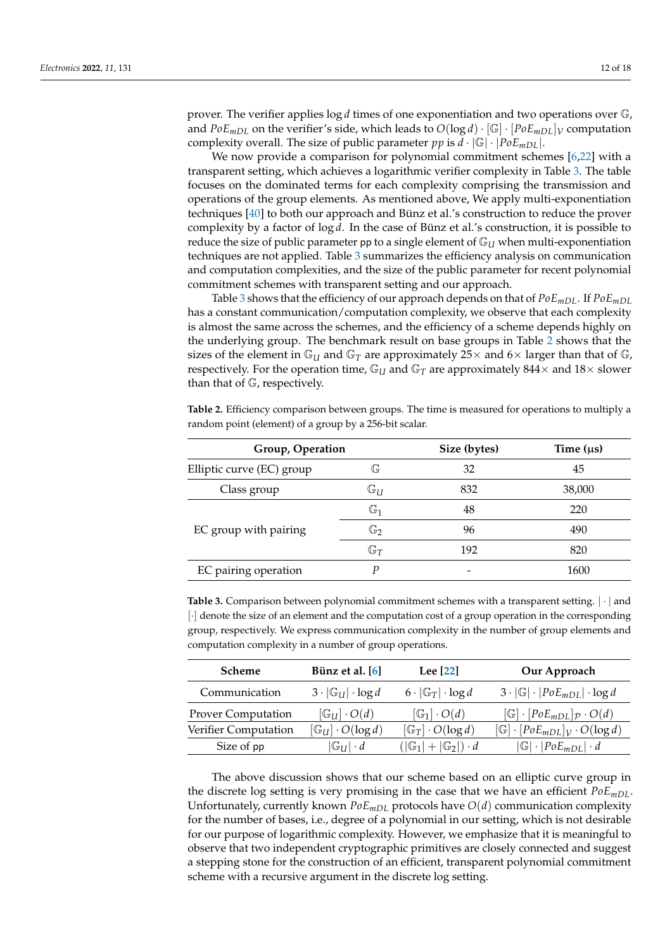prover. The verifier applies log *d* times of one exponentiation and two operations over G, and  $PoE_{mDL}$  on the verifier's side, which leads to  $O(log d) \cdot [\mathbb{G}] \cdot [PoE_{mDL}] \vee \text{computation}$ complexity overall. The size of public parameter *pp* is  $d \cdot |\mathbb{G}| \cdot |PoE_{mDL}|$ .

We now provide a comparison for polynomial commitment schemes [\[6](#page-16-4)[,22\]](#page-17-7) with a transparent setting, which achieves a logarithmic verifier complexity in Table [3.](#page-11-1) The table focuses on the dominated terms for each complexity comprising the transmission and operations of the group elements. As mentioned above, We apply multi-exponentiation techniques [\[40\]](#page-17-25) to both our approach and Bünz et al.'s construction to reduce the prover complexity by a factor of log *d*. In the case of Bünz et al.'s construction, it is possible to reduce the size of public parameter pp to a single element of  $\mathbb{G}_U$  when multi-exponentiation techniques are not applied. Table [3](#page-11-1) summarizes the efficiency analysis on communication and computation complexities, and the size of the public parameter for recent polynomial commitment schemes with transparent setting and our approach.

Table [3](#page-11-1) shows that the efficiency of our approach depends on that of  $PoE_{mDL}$ . If  $PoE_{mDL}$ has a constant communication/computation complexity, we observe that each complexity is almost the same across the schemes, and the efficiency of a scheme depends highly on the underlying group. The benchmark result on base groups in Table [2](#page-11-0) shows that the sizes of the element in  $\mathbb{G}_U$  and  $\mathbb{G}_T$  are approximately 25 x and 6 x larger than that of  $\mathbb{G}_r$ , respectively. For the operation time,  $\mathbb{G}_U$  and  $\mathbb{G}_T$  are approximately 844 $\times$  and 18 $\times$  slower than that of G, respectively.

<span id="page-11-0"></span>**Table 2.** Efficiency comparison between groups. The time is measured for operations to multiply a random point (element) of a group by a 256-bit scalar.

| Group, Operation          |                | Size (bytes) | Time $(\mu s)$ |
|---------------------------|----------------|--------------|----------------|
| Elliptic curve (EC) group | G              | 32           | 45             |
| Class group               | $\mathbb{G}_U$ | 832          | 38,000         |
|                           | $\mathbb{G}_1$ | 48           | 220            |
| EC group with pairing     | $\mathbb{G}_2$ | 96           | 490            |
|                           | $\mathbb{G}_T$ | 192          | 820            |
| EC pairing operation      | p              |              | 1600           |

<span id="page-11-1"></span>**Table 3.** Comparison between polynomial commitment schemes with a transparent setting.  $|\cdot|$  and [·] denote the size of an element and the computation cost of a group operation in the corresponding group, respectively. We express communication complexity in the number of group elements and computation complexity in a number of group operations.

| <b>Scheme</b>             | Bünz et al. [6]                       | Lee [22]                                 | Our Approach                                                    |
|---------------------------|---------------------------------------|------------------------------------------|-----------------------------------------------------------------|
| Communication             | $3 \cdot  \mathbb{G}_U  \cdot \log d$ | $6 \cdot  \mathbb{G}_T  \cdot \log d$    | $3 \cdot  \mathbb{G}  \cdot  PoE_{mDL}  \cdot \log d$           |
| <b>Prover Computation</b> | $[\mathbb{G}_U] \cdot O(d)$           | $[\mathbb{G}_1] \cdot O(d)$              | $[\mathbb{G}]\cdot [PoE_{mDL}]_{\mathcal{P}}\cdot O(d)$         |
| Verifier Computation      | $[\mathbb{G}_U] \cdot O(\log d)$      | $[\mathbb{G}_T] \cdot O(\log d)$         | $[\mathbb{G}]\cdot[PoE_{mDL}]$ <sub>V</sub> $\cdot$ $O(\log d)$ |
| Size of pp                | $ \mathbb{G}_U  \cdot d$              | $( \mathbb{G}_1 + \mathbb{G}_2 )\cdot d$ | $ \mathbb{G} \cdot PoE_{mDL} \cdot d$                           |

The above discussion shows that our scheme based on an elliptic curve group in the discrete log setting is very promising in the case that we have an efficient *PoEmDL*. Unfortunately, currently known *PoEmDL* protocols have *O*(*d*) communication complexity for the number of bases, i.e., degree of a polynomial in our setting, which is not desirable for our purpose of logarithmic complexity. However, we emphasize that it is meaningful to observe that two independent cryptographic primitives are closely connected and suggest a stepping stone for the construction of an efficient, transparent polynomial commitment scheme with a recursive argument in the discrete log setting.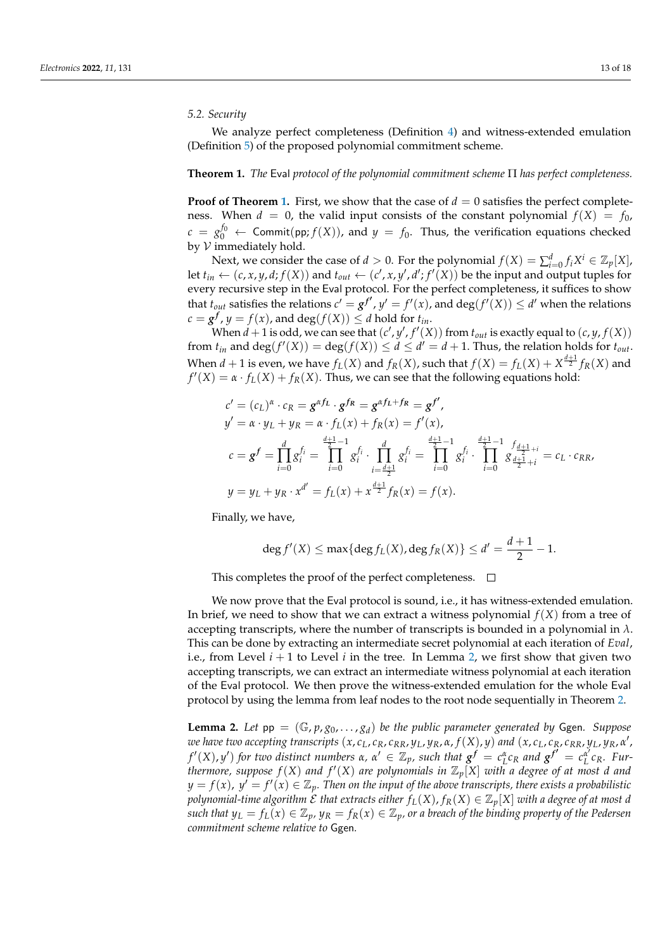#### *5.2. Security*

We analyze perfect completeness (Definition [4\)](#page-4-0) and witness-extended emulation (Definition [5\)](#page-4-1) of the proposed polynomial commitment scheme.

#### <span id="page-12-0"></span>**Theorem 1.** *The* Eval *protocol of the polynomial commitment scheme* Π *has perfect completeness.*

**Proof of Theorem [1.](#page-12-0)** First, we show that the case of  $d = 0$  satisfies the perfect completeness. When  $d = 0$ , the valid input consists of the constant polynomial  $f(X) = f_0$ ,  $c = g_0^{f_0} \leftarrow$  Commit(pp;  $f(X)$ ), and  $y = f_0$ . Thus, the verification equations checked by  $V$  immediately hold.

Next, we consider the case of *d* > 0. For the polynomial  $f(X) = \sum_{i=0}^{d} f_i X^i \in \mathbb{Z}_p[X]$ , let  $t_{in} \leftarrow (c, x, y, d; f(X))$  and  $t_{out} \leftarrow (c', x, y', d'; f'(\overline{X}))$  be the input and output tuples for every recursive step in the Eval protocol. For the perfect completeness, it suffices to show that  $t_{out}$  satisfies the relations  $c' = g^{f'}$ ,  $y' = f'(x)$ , and  $deg(f'(X)) \le d'$  when the relations  $c = g^f$ ,  $y = f(x)$ , and  $deg(f(X)) \le d$  hold for  $t_{in}$ .

When  $d + 1$  is odd, we can see that  $(c', y', f'(X))$  from  $t_{out}$  is exactly equal to  $(c, y, f(X))$ from  $t_{in}$  and  $\deg(f'(X)) = \deg(f(X)) \le d \le d' = d + 1$ . Thus, the relation holds for  $t_{out}$ . When  $d+1$  is even, we have  $f_L(X)$  and  $f_R(X)$ , such that  $f(X) = f_L(X) + X^{\frac{d+1}{2}}f_R(X)$  and  $f'(X) = \alpha \cdot f_L(X) + f_R(X)$ . Thus, we can see that the following equations hold:

$$
c' = (c_L)^{\alpha} \cdot c_R = g^{\alpha f_L} \cdot g^{f_R} = g^{\alpha f_L + f_R} = g^{f'},
$$
  
\n
$$
y' = \alpha \cdot y_L + y_R = \alpha \cdot f_L(x) + f_R(x) = f'(x),
$$
  
\n
$$
c = g^f = \prod_{i=0}^d g_i^{f_i} = \prod_{i=0}^{\frac{d+1}{2}-1} g_i^{f_i} \cdot \prod_{i=\frac{d+1}{2}}^d g_i^{f_i} = \prod_{i=0}^{\frac{d+1}{2}-1} g_i^{f_i} \cdot \prod_{i=0}^{\frac{d+1}{2}-1} g_i^{\frac{d+1}{2}+i} = c_L \cdot c_{RR},
$$
  
\n
$$
y = y_L + y_R \cdot x^{d'} = f_L(x) + x^{\frac{d+1}{2}} f_R(x) = f(x).
$$

Finally, we have,

$$
\deg f'(X) \le \max\{\deg f_L(X), \deg f_R(X)\} \le d' = \frac{d+1}{2} - 1.
$$

This completes the proof of the perfect completeness.  $\Box$ 

We now prove that the Eval protocol is sound, i.e., it has witness-extended emulation. In brief, we need to show that we can extract a witness polynomial  $f(X)$  from a tree of accepting transcripts, where the number of transcripts is bounded in a polynomial in  $\lambda$ . This can be done by extracting an intermediate secret polynomial at each iteration of *Eval*, i.e., from Level  $i + 1$  to Level  $i$  in the tree. In Lemma [2,](#page-12-1) we first show that given two accepting transcripts, we can extract an intermediate witness polynomial at each iteration of the Eval protocol. We then prove the witness-extended emulation for the whole Eval protocol by using the lemma from leaf nodes to the root node sequentially in Theorem [2.](#page-13-0)

<span id="page-12-1"></span>**Lemma 2.** Let  $pp = (\mathbb{G}, p, g_0, \ldots, g_d)$  be the public parameter generated by Ggen. Suppose we have two accepting transcripts  $(x,c_L,c_R,c_{RR},y_L,y_R,\alpha,f(X),y)$  and  $(x,c_L,c_R,c_{RR},y_L,y_R,\alpha',$  $f'(X), y'$  for two distinct numbers  $\alpha, \, \alpha' \in \mathbb{Z}_p$ , such that  $g^f = c_L^{\alpha} c_R$  and  $g^{f'} = c_L^{\alpha'}$ *L cR. Fur*thermore, suppose  $f(X)$  and  $f'(X)$  are polynomials in  $\mathbb{Z}_p[X]$  with a degree of at most  $d$  and  $y = f(x)$ ,  $y' = f'(x) \in \mathbb{Z}_p$ . Then on the input of the above transcripts, there exists a probabilistic *polynomial-time algorithm*  $\mathcal E$  *that extracts either*  $f_L(X)$ ,  $f_R(X) \in \mathbb Z_p[X]$  *with a degree of at most d such that*  $y_L = f_L(x) \in \mathbb{Z}_p$ ,  $y_R = f_R(x) \in \mathbb{Z}_p$ , or a breach of the binding property of the Pedersen *commitment scheme relative to* Ggen*.*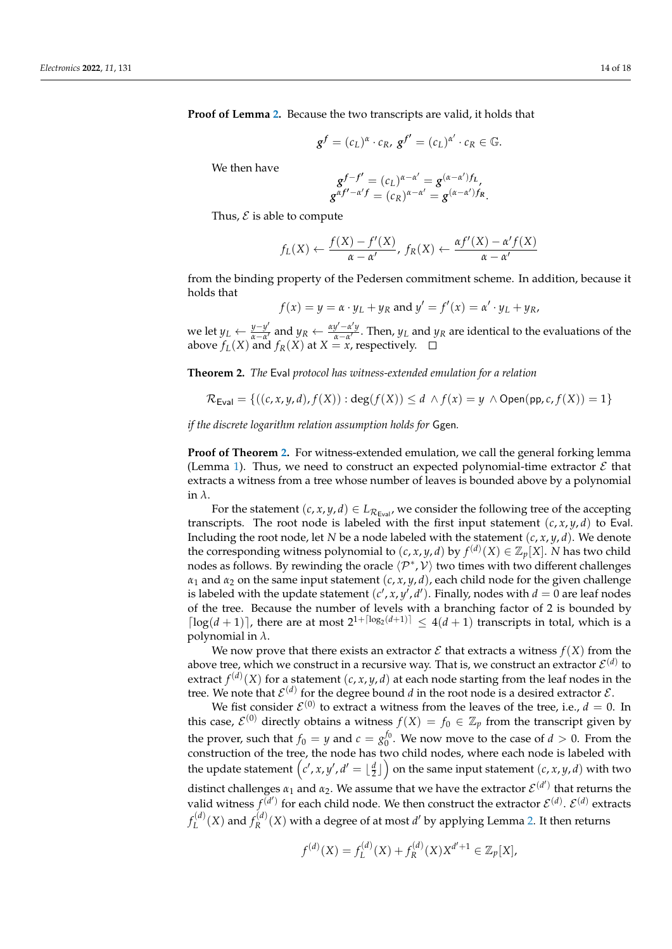**Proof of Lemma [2.](#page-12-1)** Because the two transcripts are valid, it holds that

$$
g^f = (c_L)^{\alpha} \cdot c_R, \, g^{f'} = (c_L)^{\alpha'} \cdot c_R \in \mathbb{G}.
$$

We then have

$$
g^{f-f'} = (c_L)^{\alpha-\alpha'} = g^{(\alpha-\alpha')f_L},
$$
  

$$
g^{\alpha f'-\alpha'f} = (c_R)^{\alpha-\alpha'} = g^{(\alpha-\alpha')f_R}.
$$

Thus,  $\mathcal E$  is able to compute

$$
f_L(X) \leftarrow \frac{f(X) - f'(X)}{\alpha - \alpha'}, f_R(X) \leftarrow \frac{\alpha f'(X) - \alpha' f(X)}{\alpha - \alpha'}
$$

from the binding property of the Pedersen commitment scheme. In addition, because it holds that

$$
f(x) = y = \alpha \cdot y_L + y_R \text{ and } y' = f'(x) = \alpha' \cdot y_L + y_R,
$$

we let *y*<sub>*L*</sub> ←  $\frac{y-y'}{\alpha-\alpha'}$  $\frac{y-y'}{\alpha-\alpha'}$  and  $y_R \leftarrow \frac{\alpha y' - \alpha' y}{\alpha-\alpha'}$  $\frac{y - \alpha}{\alpha - \alpha'}$ . Then,  $y_L$  and  $y_R$  are identical to the evaluations of the above  $f_L(X)$  and  $f_R(X)$  at  $X = x$ , respectively.

<span id="page-13-0"></span>**Theorem 2.** *The* Eval *protocol has witness-extended emulation for a relation*

$$
\mathcal{R}_{\mathsf{Eval}} = \{((c, x, y, d), f(X)) : \deg(f(X)) \leq d \land f(x) = y \land \mathsf{Open}(\mathsf{pp}, c, f(X)) = 1\}
$$

*if the discrete logarithm relation assumption holds for* Ggen*.*

**Proof of Theorem [2.](#page-13-0)** For witness-extended emulation, we call the general forking lemma (Lemma [1\)](#page-5-0). Thus, we need to construct an expected polynomial-time extractor  $\mathcal E$  that extracts a witness from a tree whose number of leaves is bounded above by a polynomial in *λ*.

For the statement  $(c, x, y, d) \in L_{\mathcal{R}_{\text{Eval}}}$ , we consider the following tree of the accepting transcripts. The root node is labeled with the first input statement  $(c, x, y, d)$  to Eval. Including the root node, let *N* be a node labeled with the statement  $(c, x, y, d)$ . We denote the corresponding witness polynomial to  $(c, x, y, d)$  by  $f^{(d)}(X) \in \mathbb{Z}_p[X]$ . *N* has two child nodes as follows. By rewinding the oracle  $\langle \mathcal{P}^*, \mathcal{V} \rangle$  two times with two different challenges  $\alpha_1$  and  $\alpha_2$  on the same input statement  $(c, x, y, d)$ , each child node for the given challenge is labeled with the update statement  $(c', x, y', d')$ . Finally, nodes with  $d = 0$  are leaf nodes of the tree. Because the number of levels with a branching factor of 2 is bounded by  $\lceil \log(d+1) \rceil$ , there are at most  $2^{1+\lceil \log_2(d+1) \rceil} \leq 4(d+1)$  transcripts in total, which is a polynomial in *λ*.

We now prove that there exists an extractor  $\mathcal E$  that extracts a witness  $f(X)$  from the above tree, which we construct in a recursive way. That is, we construct an extractor  $\mathcal{E}^{(d)}$  to extract  $f^{(d)}(X)$  for a statement  $(c, x, y, d)$  at each node starting from the leaf nodes in the tree. We note that  $\mathcal{E}^{(d)}$  for the degree bound *d* in the root node is a desired extractor  $\mathcal{E}$ .

We fist consider  $\mathcal{E}^{(0)}$  to extract a witness from the leaves of the tree, i.e.,  $d = 0$ . In this case,  $\mathcal{E}^{(0)}$  directly obtains a witness  $f(X) = f_0 \in \mathbb{Z}_p$  from the transcript given by the prover, such that  $f_0 = y$  and  $c = g_0^{f_0}$ . We now move to the case of  $d > 0$ . From the construction of the tree, the node has two child nodes, where each node is labeled with the update statement  $(c', x, y', d' = \lfloor \frac{d}{2} \rfloor)$  on the same input statement  $(c, x, y, d)$  with two distinct challenges  $\alpha_1$  and  $\alpha_2$ . We assume that we have the extractor  $\mathcal{E}^{(d')}$  that returns the valid witness  $f^{(d')}$  for each child node. We then construct the extractor  $\mathcal{E}^{(d)}$ .  $\mathcal{E}^{(d)}$  extracts  $f_I^{(d)}$  $f_L^{(d)}(X)$  and  $f_R^{(d)}$  $R_R^{(d)}(X)$  with a degree of at most *d'* by applying Lemma [2.](#page-12-1) It then returns

$$
f^{(d)}(X) = f_L^{(d)}(X) + f_R^{(d)}(X)X^{d'+1} \in \mathbb{Z}_p[X],
$$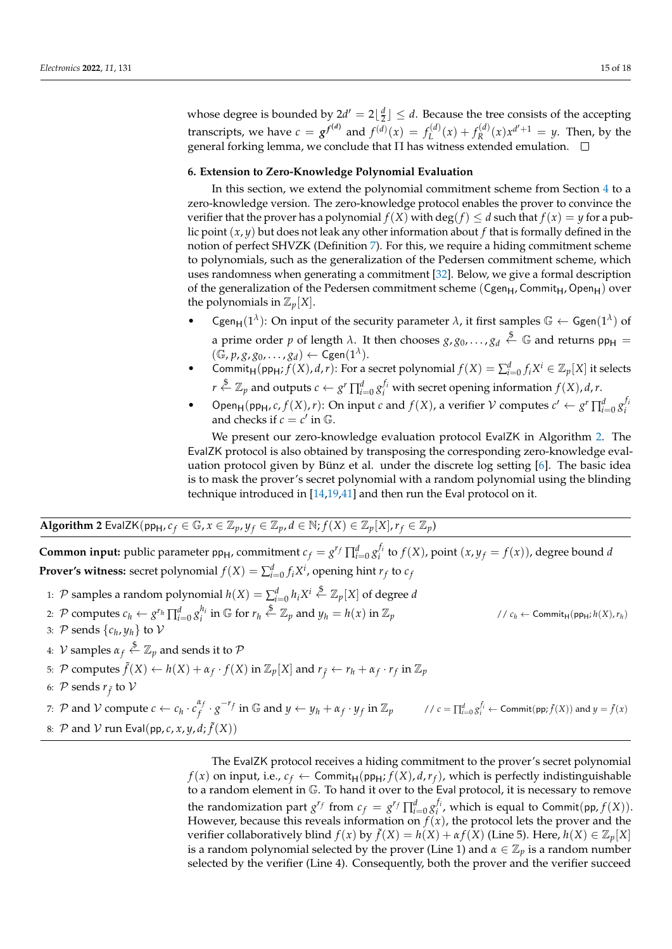whose degree is bounded by  $2d' = 2\lfloor \frac{d}{2} \rfloor \leq d$ . Because the tree consists of the accepting transcripts, we have  $c = g^{f^{(d)}}$  and  $f^{(d)}(x) = f_L^{(d)}$  $L^{(d)}(x) + f^{(d)}(R)$  $R^{(d)}(x)x^{d'+1} = y$ . Then, by the general forking lemma, we conclude that Π has witness extended emulation.

#### <span id="page-14-0"></span>**6. Extension to Zero-Knowledge Polynomial Evaluation**

In this section, we extend the polynomial commitment scheme from Section [4](#page-6-0) to a zero-knowledge version. The zero-knowledge protocol enables the prover to convince the verifier that the prover has a polynomial  $f(X)$  with  $\deg(f) \leq d$  such that  $f(x) = y$  for a public point (*x*, *y*) but does not leak any other information about *f* that is formally defined in the notion of perfect SHVZK (Definition [7\)](#page-4-2). For this, we require a hiding commitment scheme to polynomials, such as the generalization of the Pedersen commitment scheme, which uses randomness when generating a commitment [\[32\]](#page-17-17). Below, we give a formal description of the generalization of the Pedersen commitment scheme (Cgen<sub>H</sub>, Commit<sub>H</sub>, Open<sub>H</sub>) over the polynomials in  $\mathbb{Z}_p[X]$ .

- Cgen<sub>H</sub>(1<sup> $\lambda$ </sup>): On input of the security parameter  $\lambda$ , it first samples  $\mathbb{G} \leftarrow \mathsf{Ggen}(1^{\lambda})$  of a prime order *p* of length  $\lambda$ . It then chooses  $g$ ,  $g_0$ , . . . ,  $g_d \stackrel{\$}{\leftarrow} \mathbb{G}$  and returns  $pp_H =$  $(\mathbb{G}, p, g, g_0, \ldots, g_d) \leftarrow \mathsf{Cgen}(1^{\lambda}).$
- Commit<sub>H</sub>(pp<sub>H</sub>;  $f(X)$ , *d*,*r*): For a secret polynomial  $f(X) = \sum_{i=0}^{d} f_i X^i \in \mathbb{Z}_p[X]$  it selects  $r \stackrel{\$}{\leftarrow} \mathbb{Z}_p$  and outputs  $c \leftarrow g^r \prod_{i=0}^d g_i^{f_i}$  with secret opening information  $f(X)$ , *d*, *r*.
- Open<sub>H</sub>(pp<sub>H</sub>, *c*, *f*(*X*), *r*): On input *c* and *f*(*X*), a verifier  $V$  computes  $c' \leftarrow g^r \prod_{i=0}^d g_i^{f_i}$ and checks if  $c = c'$  in  $\mathbb{G}$ .

We present our zero-knowledge evaluation protocol EvalZK in Algorithm [2.](#page-14-1) The EvalZK protocol is also obtained by transposing the corresponding zero-knowledge evaluation protocol given by Bünz et al. under the discrete log setting [\[6\]](#page-16-4). The basic idea is to mask the prover's secret polynomial with a random polynomial using the blinding technique introduced in [\[14,](#page-16-11)[19,](#page-17-4)[41\]](#page-17-26) and then run the Eval protocol on it.

## <span id="page-14-1"></span>**Algorithm 2** EvalZK(pp<sub>H</sub>,  $c_f \in \mathbb{G}$ ,  $x \in \mathbb{Z}_p$ ,  $y_f \in \mathbb{Z}_p$ ,  $d \in \mathbb{N}$ ;  $f(X) \in \mathbb{Z}_p[X]$ ,  $r_f \in \mathbb{Z}_p$ )

**Common input:** public parameter pp<sub>H</sub>, commitment  $c_f = g^{r_f} \prod_{i=0}^d g_i^{f_i}$  to  $f(X)$ , point  $(x, y_f = f(x))$ , degree bound d **Prover's witness:** secret polynomial  $f(X) = \sum_{i=0}^{d} f_i X^i$ , opening hint  $r_f$  to  $c_f$ 

- 1:  $\mathcal{P}$  samples a random polynomial  $h(X) = \sum_{i=0}^{d} h_i X^i \stackrel{\$}{\leftarrow} \mathbb{Z}_p[X]$  of degree *d*
- 2: P computes  $c_h \leftarrow g^{r_h} \prod_{i=0}^d g_i^{h_i}$  in G for  $r_h \stackrel{\$}{\leftarrow} \mathbb{Z}_p$  and  $y_h = h(x)$  in  $\mathbb{Z}_p$  (1)  $\mathbb{Z}_p$  (1)  $c_h \leftarrow \text{Commit}_{H}(pp_H; h(X), r_h)$
- 3:  $P$  sends  $\{c_h, y_h\}$  to  $V$
- 4:  $\mathcal V$  samples  $\alpha_f \stackrel{\$}{\leftarrow} \mathbb Z_p$  and sends it to  $\mathcal P$
- 5:  $\mathcal{P}$  computes  $\tilde{f}(X) \leftarrow h(X) + \alpha_f \cdot f(X)$  in  $\mathbb{Z}_p[X]$  and  $r_{\tilde{f}} \leftarrow r_h + \alpha_f \cdot r_f$  in  $\mathbb{Z}_p$
- 6:  $\mathcal P$  sends  $r_{\tilde{f}}$  to  $\mathcal V$

*7*:  $P$  and  $V$  compute  $c \leftarrow c_h \cdot c_f^{\alpha_f}$  $\int_f^{\alpha_f} \cdot g^{-r_{\tilde{f}}} \text{ in } \mathbb{G} \text{ and } y \leftarrow y_h + \alpha_f \cdot y_f \text{ in } \mathbb{Z}_p$  //  $c = \prod_{i=0}^d g_i^{\tilde{f}_i} \leftarrow \text{Commit}( \textsf{pp}; \tilde{f}(X) )$  and  $y = \tilde{f}(x)$ 8:  $\mathcal P$  and  $\mathcal V$  run Eval(pp,  $c$ ,  $x$ ,  $y$ ,  $d$ ;  $\tilde f(X)$ )

> The EvalZK protocol receives a hiding commitment to the prover's secret polynomial  $f(x)$  on input, i.e.,  $c_f \leftarrow \mathsf{Commit}_\mathsf{H}(\mathsf{pp}_\mathsf{H}; f(X), d, r_f)$ , which is perfectly indistinguishable to a random element in G. To hand it over to the Eval protocol, it is necessary to remove the randomization part  $g^{rf}$  from  $c_f = g^{rf} \prod_{i=0}^d g_i^{f_i}$ , which is equal to Commit(pp,  $f(X)$ ). However, because this reveals information on  $f(x)$ , the protocol lets the prover and the verifier collaboratively blind  $f(x)$  by  $\tilde{f}(X) = h(X) + \alpha f(X)$  (Line 5). Here,  $h(X) \in \mathbb{Z}_p[X]$ is a random polynomial selected by the prover (Line 1) and  $\alpha \in \mathbb{Z}_p$  is a random number selected by the verifier (Line 4). Consequently, both the prover and the verifier succeed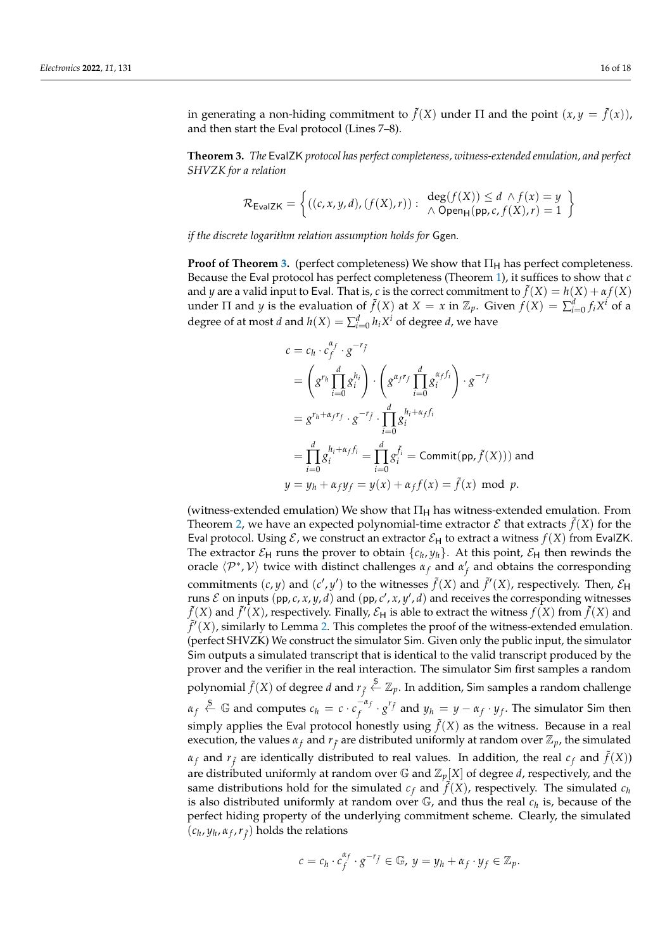in generating a non-hiding commitment to  $\tilde{f}(X)$  under  $\Pi$  and the point  $(x, y = \tilde{f}(x))$ , and then start the Eval protocol (Lines 7–8).

<span id="page-15-0"></span>**Theorem 3.** *The* EvalZK *protocol has perfect completeness, witness-extended emulation, and perfect SHVZK for a relation*

$$
\mathcal{R}_{\mathsf{EvalZK}} = \left\{ ((c, x, y, d), (f(X), r)) : \begin{array}{l} \deg(f(X)) \leq d \land f(x) = y \\ \land \text{Open}_{\mathsf{H}}(\mathsf{pp}, c, f(X), r) = 1 \end{array} \right\}
$$

*if the discrete logarithm relation assumption holds for* Ggen*.*

**Proof of Theorem [3.](#page-15-0)** (perfect completeness) We show that  $\Pi_H$  has perfect completeness. Because the Eval protocol has perfect completeness (Theorem [1\)](#page-12-0), it suffices to show that *c* and *y* are a valid input to Eval. That is, *c* is the correct commitment to  $\tilde{f}(X) = h(X) + \alpha f(X)$ under  $\Pi$  and *y* is the evaluation of  $\tilde{f}(X)$  at  $X = x$  in  $\mathbb{Z}_p$ . Given  $f(X) = \sum_{i=0}^d f_i X^i$  of a degree of at most *d* and  $h(X) = \sum_{i=0}^{d} h_i X^i$  of degree *d*, we have

$$
c = c_h \cdot c_f^{\alpha_f} \cdot g^{-r_f}
$$
  
=  $\left( g^{r_h} \prod_{i=0}^d g_i^{h_i} \right) \cdot \left( g^{\alpha_f r_f} \prod_{i=0}^d g_i^{\alpha_f f_i} \right) \cdot g^{-r_f}$   
=  $g^{r_h + \alpha_f r_f} \cdot g^{-r_f} \cdot \prod_{i=0}^d g_i^{h_i + \alpha_f f_i}$   
=  $\prod_{i=0}^d g_i^{h_i + \alpha_f f_i} = \prod_{i=0}^d g_i^{\tilde{f}_i} = \text{Commit}(\text{pp}, \tilde{f}(X)) \text{ and }$   
 $y = y_h + \alpha_f y_f = y(x) + \alpha_f f(x) = \tilde{f}(x) \text{ mod } p.$ 

(witness-extended emulation) We show that  $\Pi_H$  has witness-extended emulation. From Theorem [2,](#page-13-0) we have an expected polynomial-time extractor  $\mathcal E$  that extracts  $\tilde f(X)$  for the Eval protocol. Using  $\mathcal E$ , we construct an extractor  $\mathcal E_H$  to extract a witness  $f(X)$  from EvalZK. The extractor  $\mathcal{E}_{H}$  runs the prover to obtain  $\{c_h, y_h\}$ . At this point,  $\mathcal{E}_{H}$  then rewinds the oracle  $\langle P^*, V \rangle$  twice with distinct challenges  $\alpha_f$  and  $\alpha'_f$  and obtains the corresponding commitments  $(c, y)$  and  $(c', y')$  to the witnesses  $\tilde{f}(X)$  and  $\tilde{f}'(X)$ , respectively. Then,  $\mathcal{E}_{H}$ runs  $\mathcal E$  on inputs (pp,  $c$ ,  $x$ ,  $y$ ,  $d$ ) and (pp,  $c'$ ,  $x$ ,  $y'$ ,  $d$ ) and receives the corresponding witnesses  $\tilde{f}(X)$  and  $\tilde{f}'(X)$ , respectively. Finally,  $\mathcal{E}_H$  is able to extract the witness  $f(X)$  from  $\tilde{f}(X)$  and  $\tilde{f}'(X)$ , similarly to Lemma [2.](#page-12-1) This completes the proof of the witness-extended emulation. (perfect SHVZK) We construct the simulator Sim. Given only the public input, the simulator Sim outputs a simulated transcript that is identical to the valid transcript produced by the prover and the verifier in the real interaction. The simulator Sim first samples a random polynomial  $\tilde{f}(X)$  of degree  $d$  and  $r_{\tilde{f}}\stackrel{\$}{\leftarrow}\mathbb{Z}_p.$  In addition, Sim samples a random challenge  $\alpha_f \stackrel{\$}{\leftarrow} \mathbb{G}$  and computes  $c_h = c \cdot c_f^{-\alpha_f}$  $\int_{f}^{-\alpha_{f}} \cdot g^{r_{\tilde{f}}}$  and  $y_h = y - \alpha_{f} \cdot y_{f}$ . The simulator Sim then simply applies the Eval protocol honestly using  $\tilde{f}(X)$  as the witness. Because in a real execution, the values  $\alpha_f$  and  $r_{\tilde{f}}$  are distributed uniformly at random over  $\mathbb{Z}_p$ , the simulated  $\alpha_f$  and  $r_{\tilde{f}}$  are identically distributed to real values. In addition, the real  $c_f$  and  $\tilde{f}(X)$ ) are distributed uniformly at random over  $\mathbb{G}$  and  $\mathbb{Z}_p[X]$  of degree *d*, respectively, and the same distributions hold for the simulated  $c_f$  and  $\tilde{f}(X)$ , respectively. The simulated  $c_h$ is also distributed uniformly at random over G, and thus the real *<sup>c</sup><sup>h</sup>* is, because of the perfect hiding property of the underlying commitment scheme. Clearly, the simulated  $(c_h, y_h, \alpha_f, r_{\tilde{f}})$  holds the relations

$$
c = c_h \cdot c_f^{\alpha_f} \cdot g^{-r_{\tilde{f}}} \in \mathbb{G}, y = y_h + \alpha_f \cdot y_f \in \mathbb{Z}_p.
$$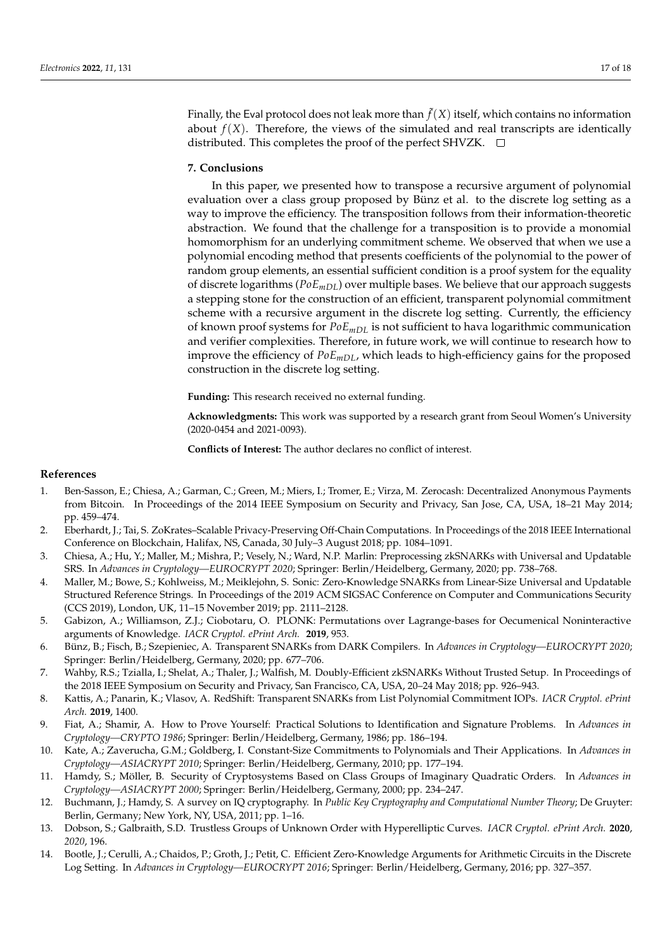Finally, the Eval protocol does not leak more than  $\tilde{f}(X)$  itself, which contains no information about  $f(X)$ . Therefore, the views of the simulated and real transcripts are identically distributed. This completes the proof of the perfect SHVZK.  $\Box$ 

#### <span id="page-16-12"></span>**7. Conclusions**

In this paper, we presented how to transpose a recursive argument of polynomial evaluation over a class group proposed by Bünz et al. to the discrete log setting as a way to improve the efficiency. The transposition follows from their information-theoretic abstraction. We found that the challenge for a transposition is to provide a monomial homomorphism for an underlying commitment scheme. We observed that when we use a polynomial encoding method that presents coefficients of the polynomial to the power of random group elements, an essential sufficient condition is a proof system for the equality of discrete logarithms ( $PoE_{mDL}$ ) over multiple bases. We believe that our approach suggests a stepping stone for the construction of an efficient, transparent polynomial commitment scheme with a recursive argument in the discrete log setting. Currently, the efficiency of known proof systems for *PoEmDL* is not sufficient to hava logarithmic communication and verifier complexities. Therefore, in future work, we will continue to research how to improve the efficiency of  $PoE_{mDL}$ , which leads to high-efficiency gains for the proposed construction in the discrete log setting.

**Funding:** This research received no external funding.

**Acknowledgments:** This work was supported by a research grant from Seoul Women's University (2020-0454 and 2021-0093).

**Conflicts of Interest:** The author declares no conflict of interest.

#### **References**

- <span id="page-16-0"></span>1. Ben-Sasson, E.; Chiesa, A.; Garman, C.; Green, M.; Miers, I.; Tromer, E.; Virza, M. Zerocash: Decentralized Anonymous Payments from Bitcoin. In Proceedings of the 2014 IEEE Symposium on Security and Privacy, San Jose, CA, USA, 18–21 May 2014; pp. 459–474.
- <span id="page-16-1"></span>2. Eberhardt, J.; Tai, S. ZoKrates–Scalable Privacy-Preserving Off-Chain Computations. In Proceedings of the 2018 IEEE International Conference on Blockchain, Halifax, NS, Canada, 30 July–3 August 2018; pp. 1084–1091.
- <span id="page-16-2"></span>3. Chiesa, A.; Hu, Y.; Maller, M.; Mishra, P.; Vesely, N.; Ward, N.P. Marlin: Preprocessing zkSNARKs with Universal and Updatable SRS. In *Advances in Cryptology—EUROCRYPT 2020*; Springer: Berlin/Heidelberg, Germany, 2020; pp. 738–768.
- 4. Maller, M.; Bowe, S.; Kohlweiss, M.; Meiklejohn, S. Sonic: Zero-Knowledge SNARKs from Linear-Size Universal and Updatable Structured Reference Strings. In Proceedings of the 2019 ACM SIGSAC Conference on Computer and Communications Security (CCS 2019), London, UK, 11–15 November 2019; pp. 2111–2128.
- <span id="page-16-3"></span>5. Gabizon, A.; Williamson, Z.J.; Ciobotaru, O. PLONK: Permutations over Lagrange-bases for Oecumenical Noninteractive arguments of Knowledge. *IACR Cryptol. ePrint Arch.* **2019**, 953.
- <span id="page-16-4"></span>6. Bünz, B.; Fisch, B.; Szepieniec, A. Transparent SNARKs from DARK Compilers. In *Advances in Cryptology—EUROCRYPT 2020*; Springer: Berlin/Heidelberg, Germany, 2020; pp. 677–706.
- <span id="page-16-13"></span>7. Wahby, R.S.; Tzialla, I.; Shelat, A.; Thaler, J.; Walfish, M. Doubly-Efficient zkSNARKs Without Trusted Setup. In Proceedings of the 2018 IEEE Symposium on Security and Privacy, San Francisco, CA, USA, 20–24 May 2018; pp. 926–943.
- <span id="page-16-5"></span>8. Kattis, A.; Panarin, K.; Vlasov, A. RedShift: Transparent SNARKs from List Polynomial Commitment IOPs. *IACR Cryptol. ePrint Arch.* **2019**, 1400.
- <span id="page-16-6"></span>9. Fiat, A.; Shamir, A. How to Prove Yourself: Practical Solutions to Identification and Signature Problems. In *Advances in Cryptology—CRYPTO 1986*; Springer: Berlin/Heidelberg, Germany, 1986; pp. 186–194.
- <span id="page-16-7"></span>10. Kate, A.; Zaverucha, G.M.; Goldberg, I. Constant-Size Commitments to Polynomials and Their Applications. In *Advances in Cryptology—ASIACRYPT 2010*; Springer: Berlin/Heidelberg, Germany, 2010; pp. 177–194.
- <span id="page-16-8"></span>11. Hamdy, S.; Möller, B. Security of Cryptosystems Based on Class Groups of Imaginary Quadratic Orders. In *Advances in Cryptology—ASIACRYPT 2000*; Springer: Berlin/Heidelberg, Germany, 2000; pp. 234–247.
- <span id="page-16-9"></span>12. Buchmann, J.; Hamdy, S. A survey on IQ cryptography. In *Public Key Cryptography and Computational Number Theory*; De Gruyter: Berlin, Germany; New York, NY, USA, 2011; pp. 1–16.
- <span id="page-16-10"></span>13. Dobson, S.; Galbraith, S.D. Trustless Groups of Unknown Order with Hyperelliptic Curves. *IACR Cryptol. ePrint Arch.* **2020**, *2020*, 196.
- <span id="page-16-11"></span>14. Bootle, J.; Cerulli, A.; Chaidos, P.; Groth, J.; Petit, C. Efficient Zero-Knowledge Arguments for Arithmetic Circuits in the Discrete Log Setting. In *Advances in Cryptology—EUROCRYPT 2016*; Springer: Berlin/Heidelberg, Germany, 2016; pp. 327–357.